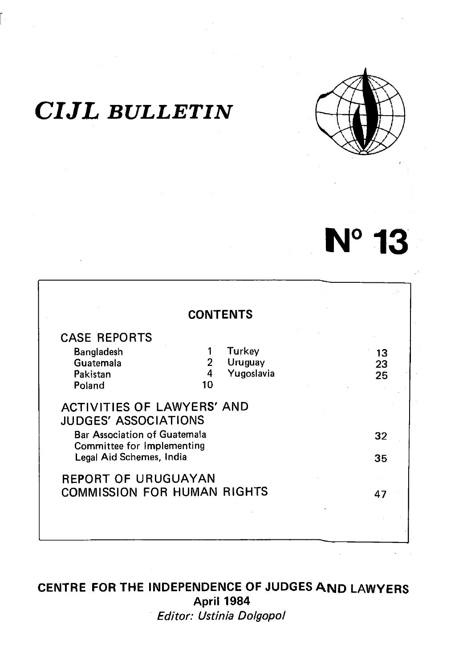

## *CIJL BU LLETIN*

# **N° 13**

| <b>CASE REPORTS</b>                                    |                                    |    |
|--------------------------------------------------------|------------------------------------|----|
| <b>Bangladesh</b>                                      | Turkey                             | 13 |
| Guatemala                                              | Uruguay<br>2                       | 23 |
| Pakistan                                               | Yugoslavia<br>4                    | 25 |
| Poland                                                 | 10                                 |    |
|                                                        |                                    |    |
| Committee for Implementing<br>Legal Aid Schemes, India |                                    | 35 |
| <b>REPORT OF URUGUAYAN</b>                             | <b>COMMISSION FOR HUMAN RIGHTS</b> |    |

## **CENTRE FOR THE INDEPENDENCE OF JUDGES AND LAWYERS April 1984** *Editor: Ustinia Dolgopol*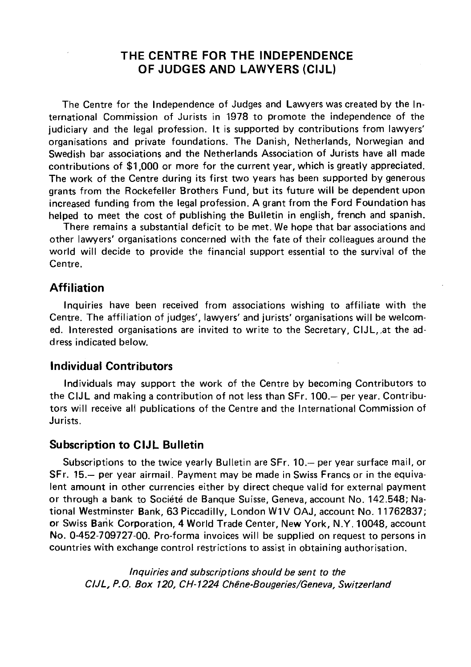## **THE CENTRE FOR THE INDEPENDENCE OF JUDGES AND LAWYERS (CIJL)**

The Centre for the Independence of Judges and Lawyers was created by the International Commission of Jurists in 1978 to promote the independence of the judiciary and the legal profession. It is supported by contributions from lawyers' organisations and private foundations. The Danish, Netherlands, Norwegian and Swedish bar associations and the Netherlands Association of Jurists have all made contributions of \$1,000 or more for the current year, which is greatly appreciated. The work of the Centre during its first two years has been supported by generous grants from the Rockefeller Brothers Fund, but its future will be dependent upon increased funding from the legal profession. A grant from the Ford Foundation has helped to meet the cost of publishing the Bulletin in english, french and spanish.

There remains a substantial deficit to be met. We hope that bar associations and other lawyers' organisations concerned w ith the fate of their colleagues around the world will decide to provide the financial support essential to the survival of the Centre.

## **Affiliation**

Inquiries have been received from associations wishing to affiliate with the Centre. The affiliation of judges', lawyers' and jurists' organisations will be welcomed. Interested organisations are invited to write to the Secretary, CIJL, at the address indicated below.

## **Individual Contributors**

Individuals may support the work of the Centre by becoming Contributors to the CIJL and making a contribution of not less than  $SFr$ , 100.— per year. Contributors will receive all publications of the Centre and the International Commission of Jurists.

## **Subscription to CIJL Bulletin**

Subscriptions to the twice yearly Bulletin are SFr. 10.— per year surface mail, or SFr. 15.— per year airmail. Payment may be made in Swiss Francs or in the equivalent amount in other currencies either by direct cheque valid for external payment or through a bank to Societe de Banque Suisse, Geneva, account No. 142.548; National Westminster Bank, 63 Piccadilly, London W1V OAJ, account No. 11762837; or Swiss Bank Corporation, **4** World Trade Center, New York, N.Y. 10048, account No. 0-452-709727-00. Pro-forma invoices will be supplied on request to persons in countries with exchange control restrictions to assist in obtaining authorisation.

*Inquiries and subscriptions should be sent to the CIJL, P.O. Box 120, CH-1224 Chene-Bougeries/Geneva, Switzerland*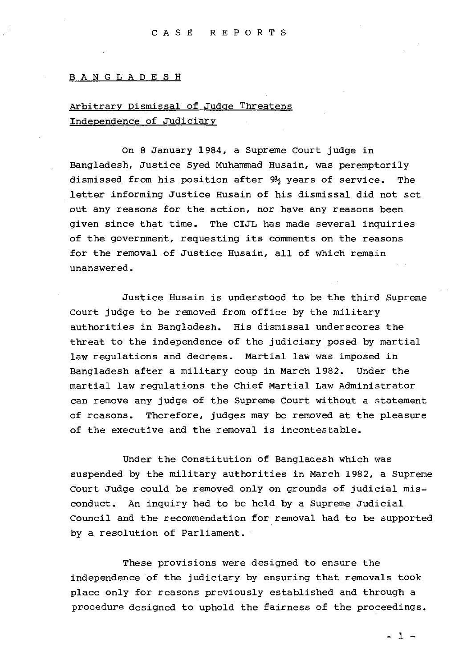#### CASE REPORTS

#### **BANGLADESH**

## **Arbitrary Dismissal of Judge Threatens Independence of Judiciary**

**On 8 January 1984, a Supreme Court judge in Bangladesh, Justice Syed Muhammad Husain, was peremptorily dismissed from his position after 9Jj years of service. The letter informing Justice Husain of his dismissal did not set out any reasons for the action, nor have any reasons been given since that time. The CIJL has made several inquiries of the government, requesting its comments on the reasons for the removal of Justice Husain, all of which remain unanswered.**

**Justice Husain is understood to be the third Supreme Court judge to be removed from office by the military authorities in Bangladesh. His dismissal underscores the threat to the independence of the judiciary posed by martial law regulations and decrees. Martial law was imposed in Bangladesh after a military coup in March 1982. Under the martial law regulations the Chief Martial Law Administrator can remove any judge of the Supreme Court without a statement of reasons. Therefore, judges may be removed at the pleasure of the executive and the removal is incontestable.**

**Under the Constitution of Bangladesh which was suspended by the military authorities in March 1982, a Supreme** Court Judge could be removed only on grounds of judicial mis**conduct. An inquiry had to be held by a Supreme Judicial Council and the recommendation for removal had to be supported by a resolution of Parliament.**

**These provisions were designed to ensure the independence of the judiciary by ensuring that removals took place only for reasons previously established and through a procedure designed to uphold the fairness of the proceedings.**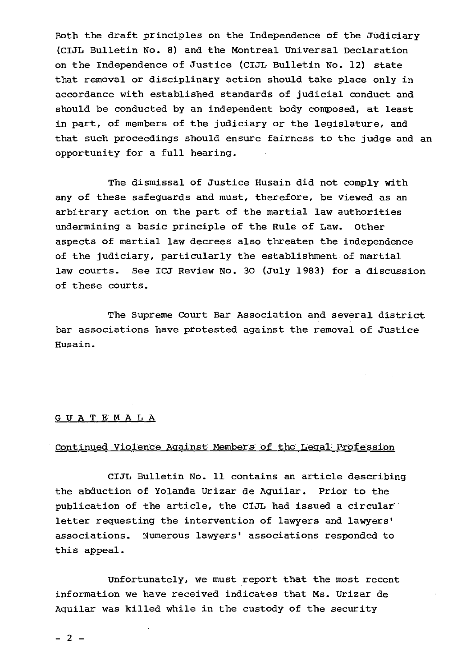**Both the draft principles on the Independence of the Judiciary (CIJL Bulletin No. 8) and the Montreal Universal Declaration on the Independence of Justice (CIJL Bulletin No. 12) state that removal or disciplinary action should take place only in accordance with established standards of judicial conduct and should be conducted by an independent body composed, at least in part, of members of the judiciary or the legislature, and that such proceedings should ensure fairness to the judge and an opportunity for a full hearing.**

**The dismissal of Justice Husain did not comply with any of these safeguards and must, therefore, be viewed as an arbitrary action on the part of the martial law authorities undermining a basic principle of the Rule of Law. Other aspects of martial law decrees also threaten the independence of the judiciary, particularly the establishment of martial law courts. See ICJ Review No. 30 (July 1983) for a discussion of these courts.**

**The Supreme Court Bar Association and several district bar associations have protested against the removal of Justice Husain.**

#### **GUATEMALA**

#### **Continued Violence Against Members of the Legal Profession**

**CIJL Bulletin No. 11 contains an article describing the abduction of Yolanda Urizar de Aguilar. Prior to the publication of the article, the CIJL had issued a circular letter requesting the intervention of lawyers and lawyers' associations. Numerous lawyers' associations responded to this appeal.**

**Unfortunately, we must report that the most recent information we have received indicates that Ms. Urizar de Aguilar was killed while in the custody of the security**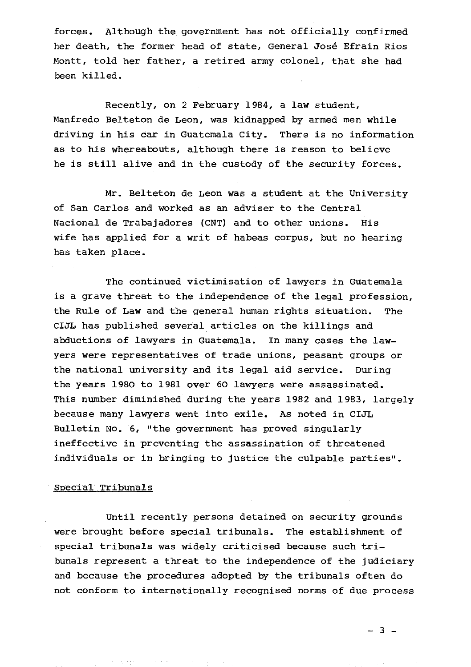**forces. Although the government has not officially confirmed her death, the former head of state, General Jose Efrain Rios Montt, told her father, a retired army colonel, that she had been killed.**

**Recently, on 2 February 1984, a law student, Manfredo Belteton de Leon, was kidnapped by armed men while driving in his car in Guatemala City. There is no information as to his whereabouts, although there is reason to believe he is still alive and in the custody of the security forces.**

**Mr. Belteton de Leon was a student at the University of San Carlos and worked as an adviser to the Central Nacional de Trabajadores (CNT) and to other unions. His wife has applied for a writ of habeas corpus, but no hearing has taken place.**

**The continued victimisation of lawyers in Guatemala is a grave threat to the independence of the legal profession,** the Rule of Law and the general human rights situation. The **ClJL has published several articles on the killings and abductions of lawyers in Guatemala. In many cases the lawyers were representatives of trade unions, peasant groups or the national university and its legal aid service. During the years 1980 to 1981 over 60 lawyers were assassinated. This number diminished during the years 1982 and 1983, largely because many lawyers went into exile. As noted in CIJL Bulletin No. 6, "the government has proved singularly ineffective in preventing the assassination of threatened individuals or in bringing to justice the culpable parties".**

#### **Special Tribunals**

**Until recently persons detained on security grounds were brought before special tribunals. The establishment of special tribunals was widely criticised because such tribunals represent a threat to the independence of the judiciary and because the procedures adopted by the tribunals often do not conform to internationally recognised norms of due process**

 $-3 -$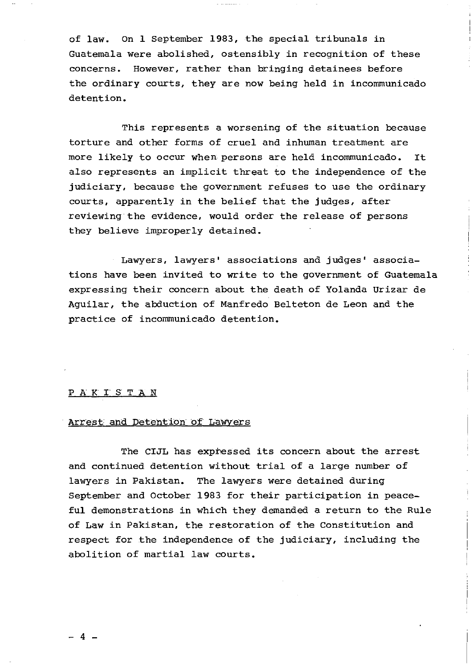**of law. On 1 September 1983, the special tribunals in Guatemala were abolished, ostensibly in recognition of these concerns. However, rather than bringing detainees before the ordinary courts, they are now being held in incommunicado detention.**

**This represents a worsening of the situation because torture and other forms of cruel and inhuman treatment are** more likely to occur when persons are held incommunicado. It **also represents an implicit threat to the independence of the judiciary, because the government refuses to use the ordinary courts, apparently in the belief that the judges, after reviewing the evidence, would order the release of persons they believe improperly detained.**

**Lawyers, lawyers' associations and judges' associations have been invited to write to the government of Guatemala expressing their concern about the death of Yolanda Urizar de Aguilar, the abduction of Manfredo Belteton de Leon and the practice of incommunicado detention.**

#### **P A K I STAN**

#### **Arrest and Detention of Lawyers**

**The CIJL has expressed its concern about the arrest and continued detention without trial of a large number of lawyers in Pakistan. The lawyers were detained during September and October 1983 for their participation in peace**ful demonstrations in which they demanded a return to the Rule **of L aw in Pakistan, the restoration of the Constitution and respect for the independence of the judiciary, including the abolition of martial law courts.**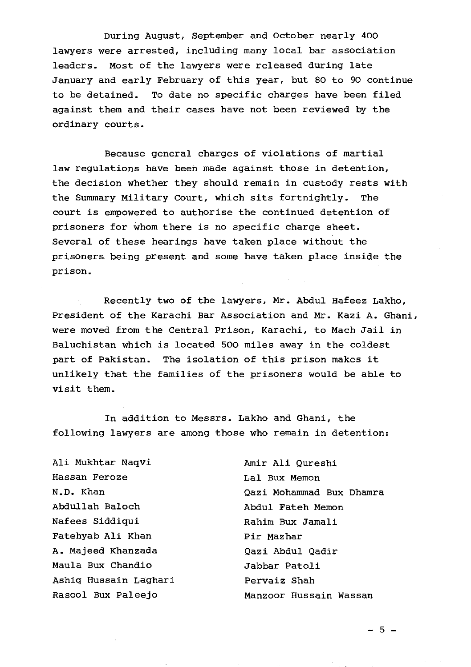**During August, September and October nearly 400 lawyers were arrested, including many local bar association leaders. Most of the lawyers were released during late January and early February of this year, but 80 to 90 continue to be detained. To date no specific charges have been filed against them and their cases have not been reviewed by the ordinary courts.**

**Because general charges of violations of martial law regulations have been made against those in detention, the decision whether they should remain in custody rests with the Summary Military Court, which sits fortnightly. The court is empowered to authorise the continued detention of** prisoners for whom there is no specific charge sheet. **Several of these hearings have taken place without the prisoners being present and some have taken place inside the prison.**

**Recently two of the lawyers, Mr. Abdul Hafeez Lakho, President of the Karachi Bar Association and Mr. Kazi A. Ghani, were moved from the Central Prison, Karachi, to Mach Jail in Baluchistan which is located 500 miles away in the coldest part of Pakistan. The isolation of this prison makes it unlikely that the families of the prisoners would be able to visit them.**

**In addition to Messrs. Lakho and Ghani, the following lawyers are among those who remain in detention:**

**Ali Mukhtar Naqvi Hassan Feroze N.D. Khan Abdullah Baloch Nafees Siddiqui Fatehyab Ali Khan A. Majeed Khanzada Maula Bux Chandio Ashiq Hussain Laghari Rasool Bux Paleejo**

**Amir Ali Qureshi Lai Bux Memon Qazi Mohammad Bux Dhamra Abdul Fateh Memon Rahim Bux Jamali Pir Mazhar Qazi Abdul Qadir Jabbar Patoli Pervaiz Shah Manzoor Hussain Wassan**

 $-5 -$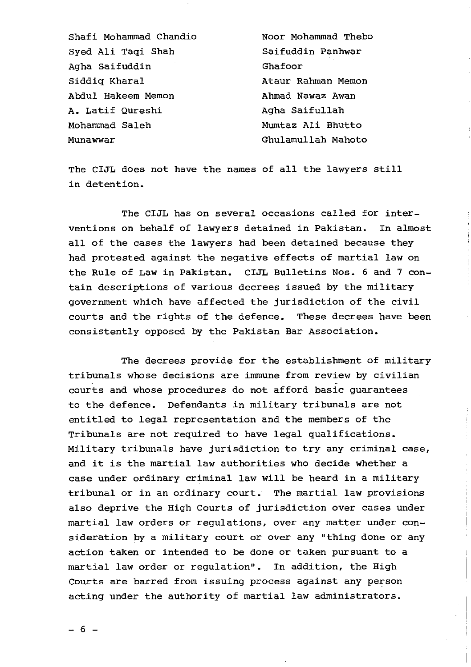**Shafi Mohammad Chandio Syed Ali Taqi Shah Agha Saifuddin Siddiq Kharal Abdul Hakeem Memon A. Latif Qureshi Mohammad Saleh Munawwar**

**Ataur Rahman Memon Ahmad Nawaz Awan Agha Saifullah Mumtaz Ali Bhutto Ghulamullah Mahoto Noor Mohammad Thebo Saifuddin Panhwar Ghafoor**

**The CIJL does not have the names of all the lawyers still in detention.**

**The CIJL has on several occasions called for interventions on behalf of lawyers detained in Pakistan. In almost all of the cases the lawyers had been detained because they had protested against the negative effects of martial law on the Rule of Law in Pakistan. CIJL Bulletins Nos. 6 and 7 contain descriptions of various decrees issued by the military government which have affected the jurisdiction of the civil courts and the rights of the defence. These decrees have been consistently opposed by the Pakistan Bar Association.**

**The decrees provide for the establishment of military tribunals whose decisions are immune from review by civilian courts and whose procedures do not afford basic guarantees to the defence. Defendants in military tribunals are not entitled to legal representation and the members of the Tribunals are not required to have legal qualifications. Military tribunals have jurisdiction to try any criminal case, and it is the martial law authorities who decide whether a case under ordinary criminal law will be heard in a military tribunal or in an ordinary court. The martial law provisions also deprive the High Courts of jurisdiction over cases under martial law orders or regulations, over any matter under consideration by a military court or over any "thing done or any action taken or intended to be done or taken pursuant to a martial law order or regulation". In addition, the High Courts are barred from issuing process against any person acting under the authority of martial law administrators.**

 $-6 -$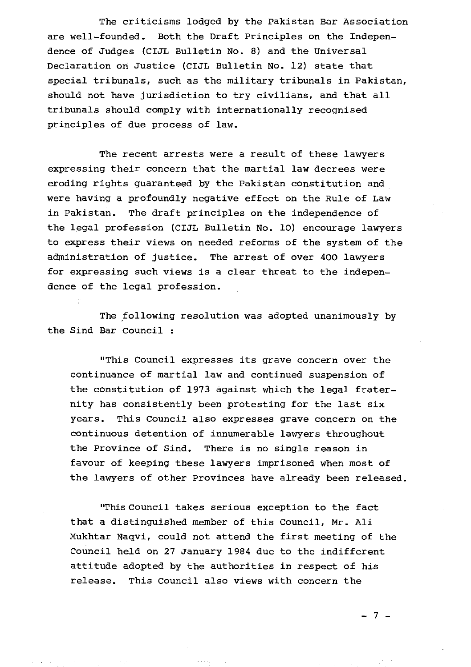**The criticisms lodged by the Pakistan Bar Association are well-founded. Both the Draft Principles on the Independence of Judges (CIJL Bulletin No. 8) and the Universal Declaration oh Justice (CIJL Bulletin No. 12) state that special tribunals, such as the military tribunals in Pakistan, should not have jurisdiction to try civilians, and that all tribunals should comply with internationally recognised principles of due process of law.**

**The recent arrests were a result of these lawyers expressing their concern that the martial law decrees were eroding rights guaranteed by the Pakistan constitution and were having a profoundly negative effect on the Rule of Law in Pakistan. The draft principles on the independence of the legal profession (CIJL Bulletin No. 10) encourage lawyers to express their views on needed reforms of the system of the administration of justice. The arrest of over 400 lawyers for expressing such views is a clear threat to the independence of the legal profession.**

**The following resolution was adopted unanimously by the Sind Bar Council :**

**"This Council expresses its grave concern over the continuance of martial law and continued suspension of the constitution of 1973 against which the legal fraternity has consistently been protesting for the last six years. This Council also expresses grave concern on the continuous detention of innumerable lawyers throughout the Province of Sind. There is no single reason in favour of keeping these lawyers imprisoned when most of the lawyers of other Provinces have already been released.**

**"This Council takes serious exception to the fact that a distinguished member of this Council, Mr. Ali Mukhtar Naqvi, could not attend the first meeting of the Council held on 27 January 1984 due to the indifferent attitude adopted by the authorities in respect of his release. This Council also views with concern the**

 $-7-$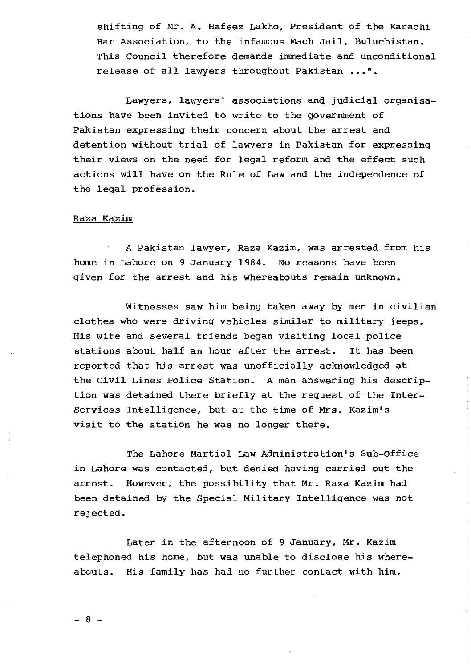**shifting of Mr. A. Hafeez Lakho, President of the Karachi Bar Association, to the infamous Mach Jail, Buluchistan. This Council therefore demands immediate and unconditional release of all lawyers throughout Pakistan ...".**

**Lawyers, lawyers' associations and judicial organisations have been invited to write to the government of Pakistan expressing their concern about the arrest and detention without trial of lawyers in Pakistan for expressing their views on the need for legal reform and the effect such actions will have on the Rule of Law and the independence of the legal profession.**

#### **Raza Kazim**

**A Pakistan lawyer, Raza Kazim, was arrested from his home in Lahore on 9 January 1984. No reasons have been given for the arrest and his whereabouts remain unknown.**

Witnesses saw him being taken away by men in civilian **clothes who were driving vehicles similar to military jeeps. His wife and several friends began visiting local police stations about half an hour after the arrest. It has been reported that his arrest was unofficially acknowledged at the Civil Lines Police Station. A man answering his description was detained there briefly at the request of the Inter-Services Intelligence, but at the time of Mrs. Kazim's visit to the station he was no longer there.**

The Lahore Martial Law Administration's Sub-Office **in Lahore was contacted, but denied having carried out the arrest. However, the possibility that Mr. Raza Kazim had been detained by the Special Military Intelligence was not rejected.**

**Later in the afternoon of 9 January, Mr. Kazim telephoned his home, but was unable to disclose his whereabouts. His family has had no further contact with him.**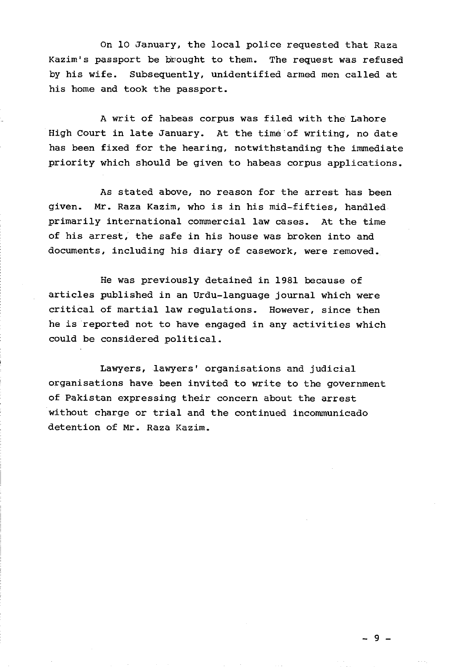**On 10 January, the local police requested that Raza Kazim's passport be brought to them. The request was refused by his wife. Subsequently, unidentified armed men called at his home and took the passport.**

**A writ of habeas corpus was filed with the Lahore High Court in late January. At the time of writing, no date has been fixed for the hearing, notwithstanding the immediate priority which should be given to habeas corpus applications.**

**As stated above, no reason for the arrest has been given. Mr. Raza Kazim, who is in his mid-fifties, handled primarily international commercial law cases. At the time of his arrest, the safe in his house was broken into and documents, including his diary of casework, were removed.**

**He was previously detained in 1981 because of articles published in an Urdu-language journal which were critical of martial law regulations. However, since then he is reported not to have engaged in any activities which could be considered political.**

**Lawyers, lawyers' organisations and judicial organisations have been invited to write to the government of Pakistan expressing their concern about the arrest without charge or trial and the continued incommunicado detention of Mr. Raza Kazim.**

 $-9-$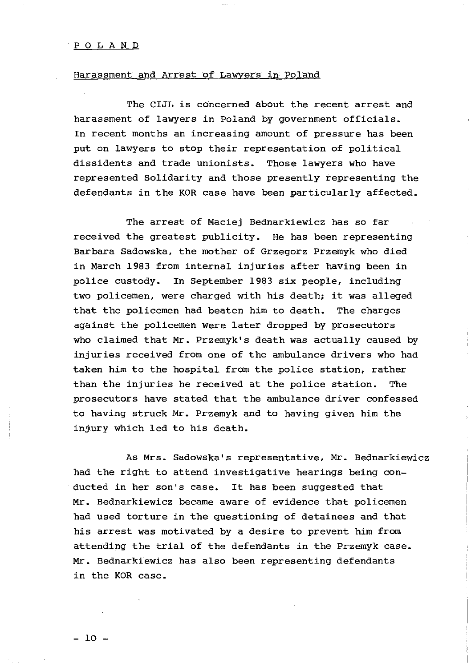#### **POLAND**

#### **Harassment and Arrest of Lawyers in Poland**

**The CIJL is concerned about the recent arrest and harassment of lawyers in Poland by government officials. In recent months an increasing amount of pressure has been put on lawyers to stop their representation of political dissidents and trade unionists. Those lawyers who have represented Solidarity and those presently representing the defendants in the KOR case have been particularly affected.**

**The arrest of Maciej Bednarkiewicz has so far received the greatest publicity. He has been representing Barbara Sadowska, the mother of Grzegorz Przemyk who died in March 1983 from internal injuries after having been in police custody. In September 1983 six people, including two policemen, were charged with his death; it was alleged that the policemen had beaten him to death. The charges against the policemen were later dropped by prosecutors who claimed that Mr. Przemyk's death was actually caused by injuries received from one of the ambulance drivers who had taken him to the hospital from the police station, rather than the injuries he received at the police station. The prosecutors have stated that the ambulance driver confessed to having struck Mr. Przemyk and to having given him the inj'ury which led to his death.**

**As Mrs. Sadowska's representative, Mr. Bednarkiewicz had the right to attend investigative hearings being conducted in her son's case. It has been suggested that Mr. Bednarkiewicz became aware of evidence that policemen had used torture in the questioning of detainees and that his arrest was motivated by a desire to prevent him from attending the trial of the defendants in the Przemyk case. Mr. Bednarkiewicz has also been representing defendants in the KOR case.**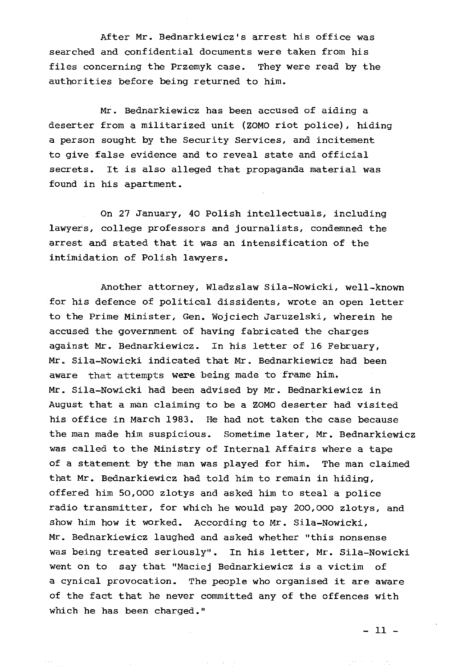After Mr. Bednarkiewicz's arrest his office was **searched and confidential documents were taken from his files concerning the Przemyk case. They were read by the authorities before being returned to him.**

**Mr. Bednarkiewicz has been accused of aiding a deserter from a militarized unit (ZOMO riot police), hiding a person sought by the Security Services, and incitement to give false evidence and to reveal state and official secrets. It is also alleged that propaganda material was found in his apartment.**

**On 27 January, 40 Polish intellectuals, including lawyers, college professors and journalists, condemned the arrest and stated that it was an intensification of the intimidation of Polish lawyers.**

**Another attorney, Wladzslaw Sila-Nowicki, well-known for his defence of political dissidents, wrote an open letter to the Prime Minister, Gen. Wojciech Jaruzelski, wherein he accused the government of having fabricated the charges against Mr. Bednarkiewicz. In his letter of 16 February, Mr. Sila-Nowicki indicated that Mr. Bednarkiewicz had been aware that attempts were being made to frame him. Mr. Sila-Nowicki had been advised by Mr. Bednarkiewicz in August that a man claiming to be a ZOMO deserter had visited his office in March 1983. He had not taken the case because the man made him suspicious. Sometime later, Mr. Bednarkiewicz was called to the Ministry of Internal Affairs where a tape of a statement by the man was played for him. The man claimed that Mr. Bednarkiewicz had told him to remain in hiding, offered him 50,000 zlotys and asked him to steal a police radio transmitter, for which he would pay 200,000 zlotys, and show him how it worked. According to Mr. Sila-Nowicki, Mr. Bednarkiewicz laughed and asked whether "this nonsense was being treated seriously". In his letter, Mr. Sila-Nowicki went on to say that "Maciej Bednarkiewicz is a victim of a cynical provocation. The people who organised it are aware of the fact that he never committed any of the offences with which he has been charged."**

 $-11 -$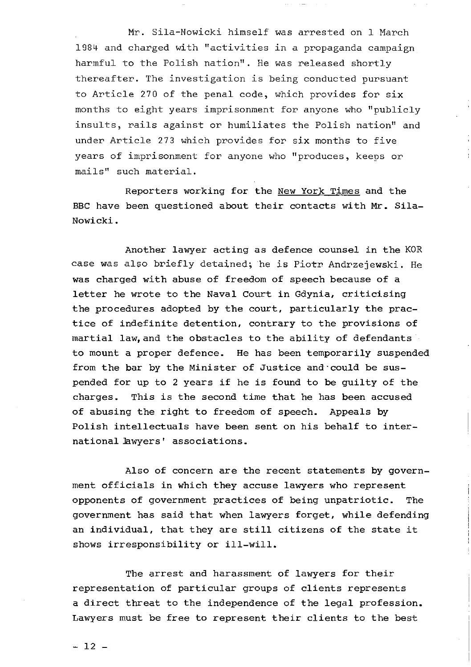Mr. Sila-Nowicki himself was arrested on 1 March 1984 and charged with "activities in a propaganda campaign harmful to the Polish nation". He was released shortly thereafter. The investigation is being conducted pursuant to Article 270 of the penal code, which provides for six months to eight years imprisonment for anyone who "publicly insults, rails against or humiliates the Polish nation" and under Article 273 which provides for six months to five years of imprisonment for anyone who "produces, keeps or mails" such material.

**Reporters working for the New York Times and the BBC have been questioned about their contacts with Mr. Sila-Nowicki .**

**Another lawyer acting as defence counsel in the KOR** case was also briefly detained; he is Piotr Andrzeiewski. He **was charged with abuse of freedom of speech because of a letter he wrote to the Naval Court in Gdynia, criticising the procedures adopted by the court, particularly the practice of indefinite detention, contrary to the provisions of martial law, and the obstacles to the ability of defendants to mount a proper defence. He has been temporarily suspended from the bar by the Minister of Justice and'could be suspended for up to 2 years if he is found to be guilty of the charges. This is the second time that he has been accused of abusing the right to freedom of speech. Appeals by Polish intellectuals have been sent on his behalf to international lawyers1 associations.**

**Also of concern are the recent statements by government officials in which they accuse lawyers who represent opponents of government practices of being unpatriotic. The government has said that when lawyers forget, while defending an individual, that they are still citizens of the state it shows irresponsibility or ill-will.**

**The arrest and harassment of lawyers for their representation of particular groups of clients represents a direct threat to the independence of the legal profession. Lawyers must be free to represent their clients to the best**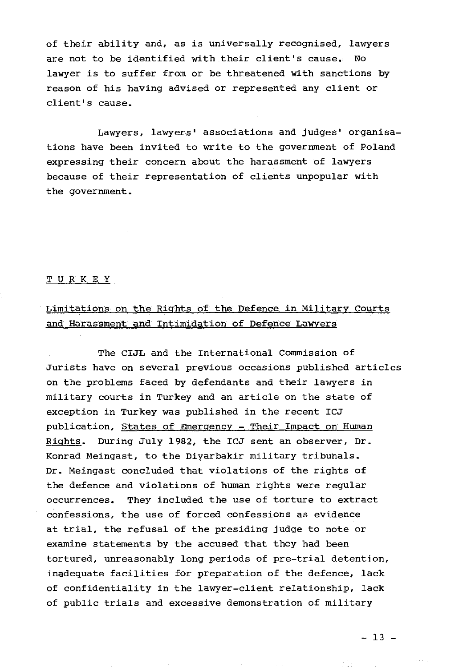**of their ability and, as is universally recognised, lawyers are not to be identified with their client's cause.; No lawyer is to suffer from or be threatened with sanctions by reason of his having advised or represented any client or client's cause.**

**Lawyers, lawyers' associations and judges' organisations have been invited to write to the government of Poland expressing their concern about the harassment of lawyers because of their representation of clients unpopular with the government.**

#### TURKEY

## **Limitations oil the Rights of the Defence in Military Courts and Harassment and Intimidation of Defence Lawyers**

**The CIJL and the International Commission of Jurists have on several previous occasions published articles on the problems faced by defendants and their lawyers in military courts in Turkey and an article on the state of exception in Turkey was published in the recent ICJ publication. States of Emergency - Their Impact on Human** Rights. During July 1982, the ICJ sent an observer, Dr. **Konrad Meingast, to the Diyarbakir military tribunals. Dr. Meingast concluded that violations of the rights of the defence and violations of human rights were regular occurrences. They included the use of torture to extract confessions, the use of forced confessions as evidence at trial, the refusal of the presiding judge to note or examine statements by the accused that they had been tortured, unreasonably long periods of pre-trial detention, inadequate facilities for preparation of the defence, lack of confidentiality in the lawyer-client relationship, lack of public trials and excessive demonstration of military**

 $-13 -$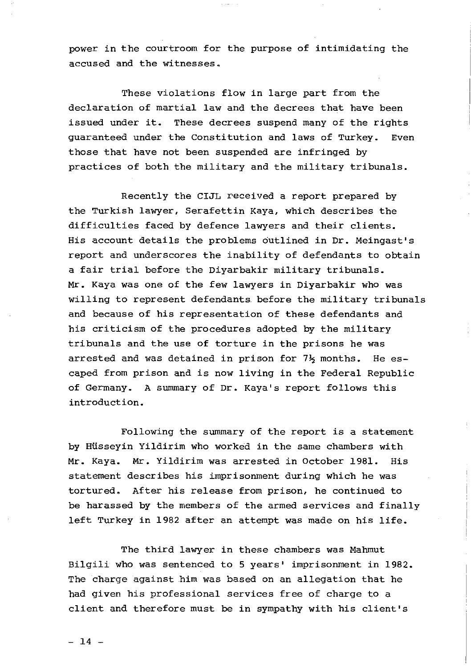**power in the courtroom for the purpose of intimidating the accused and the witnesses.**

**These violations flow in large part from the declaration of martial law and the decrees that have been issued under it. These decrees suspend many of the rights guaranteed under the Constitution and laws of Turkey. Even those that have not been suspended are infringed by practices of both the military and the military tribunals.**

**Recently the CIJL received a report prepared by the Turkish lawyer, Serafettin Kaya, which describes the difficulties faced by defence lawyers and their clients. His account details the problems outlined in Dr. Meingast's report and underscores the inability of defendants to obtain a fair trial before the Diyarbakir military tribunals. Mr. Kaya was one of the few lawyers in Diyarbakir who was willing to represent defendants before the military tribunals and because of his representation of these defendants and his criticism of the procedures adopted by the military tribunals and the use of torture in the prisons he was** arrested and was detained in prison for 7<sup>1</sup>/<sub>2</sub> months. He escaped from prison and is now living in the Federal Republic **of Germany. A summary of Dr. Kaya's report follows this introduction.**

**Following the summary of the report is a statement by Hiisseyin Yildirim who worked in the same chambers with Mr. Kaya. Mr. Yildirim was arrested in October 1981. His statement describes his imprisonment during which he was tortured. After his release from prison, he continued to be harassed by the members of the armed services and finally left Turkey in 1982 after an attempt was made on his life.**

**The third lawyer in these chambers was Mahmut Bilgili who was sentenced to 5 years' imprisonment in 1982. The charge against him was based on an allegation that he had given his professional services free of charge to a client and therefore must be in sympathy with his client's**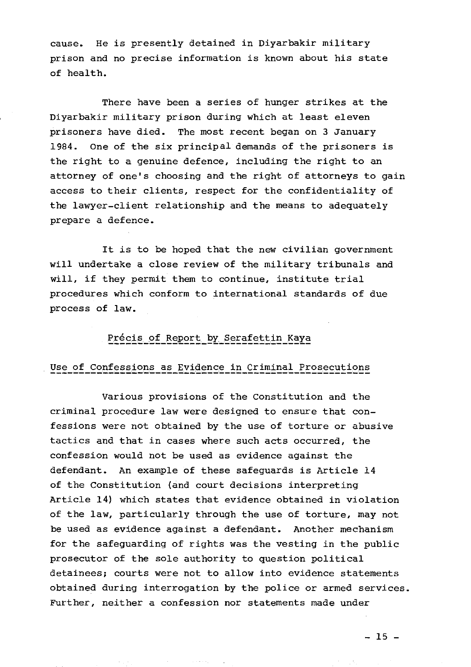**cause. He is presently detained in Diyarbakir military prison and no precise information is known about his state of health.**

**There have been a series of hunger strikes at the Diyarbakir military prison during which at least eleven prisoners have died. The most recent began on 3 January 1984. One of the six principal demands of the prisoners is the right to a genuine defence, including the right to an attorney of one's choosing and the right of attorneys to gain access to their clients, respect for the confidentiality of the lawyer-client relationship and the means to adequately prepare a defence.**

**It is to be hoped that the new civilian government will undertake a close review of the military tribunals and will, if they permit them to continue, institute trial procedures which conform to international standards of due process of law.**

#### Précis of Report by Serafettin Kaya

#### **Use of\_Confessions\_as Evidence\_in Criminal\_Prosecutions**

**Various provisions of the Constitution and the criminal procedure law were designed to ensure that confessions were not obtained by the use of torture or abusive tactics and that in cases where such acts occurred, the confession would not be used as evidence against the** defendant. An example of these safequards is Article 14 **of the Constitution (and court decisions interpreting Article 14) which states that evidence obtained in violation** of the law, particularly through the use of torture, may not **be used as evidence against a defendant. Another mechanism for the safeguarding of rights was the vesting in the public prosecutor of the sole authority to question political detainees; courts were not to allow into evidence statements obtained during interrogation by the police or armed services. Further, neither a confession nor statements made under**

a sa sa

 $-15 -$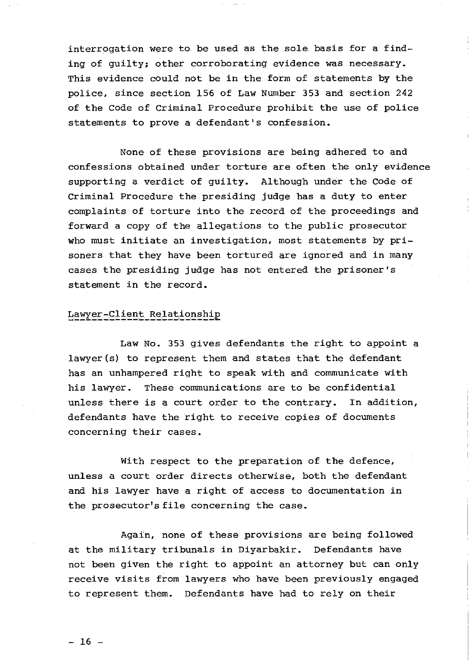**interrogation were to be used as the sole basis for a finding of guilty; other corroborating evidence was necessary. This evidence could not be in the form of statements by the police, since section 156 of L aw Number 353 and section 242 of the Code of Criminal Procedure prohibit the use of police statements to prove a defendant's confession.**

**None of these provisions are being adhered to and confessions obtained under torture are often the only evidence supporting a verdict of guilty. Although under the Code of Criminal Procedure the presiding judge has a duty to enter complaints of torture into the record of the proceedings and forward a copy of the allegations to the public prosecutor who must initiate an investigation, most statements by prisoners that they have been tortured are ignored and in many cases the presiding judge has not entered the prisoner's statement in the record.**

#### **Lawyer-C1ient\_Re1ationship**

**Law No. 353 gives defendants the right to appoint a** lawyer(s) to represent them and states that the defendant **has an unhampered right to speak with and communicate with his lawyer. These communications are to be confidential unless there is a court order to the contrary. In addition, defendants have the right to receive copies of documents concerning their cases.**

**With respect to the preparation of the defence, unless a court order directs otherwise, both the defendant and his lawyer have a right of access to documentation in the prosecutor's file concerning the case.**

**Again, none of these provisions are being followed at the military tribunals in Diyarbakir. Defendants have not been given the right to appoint an attorney but can only receive visits from lawyers who have been previously engaged to represent them. Defendants have had to rely on their**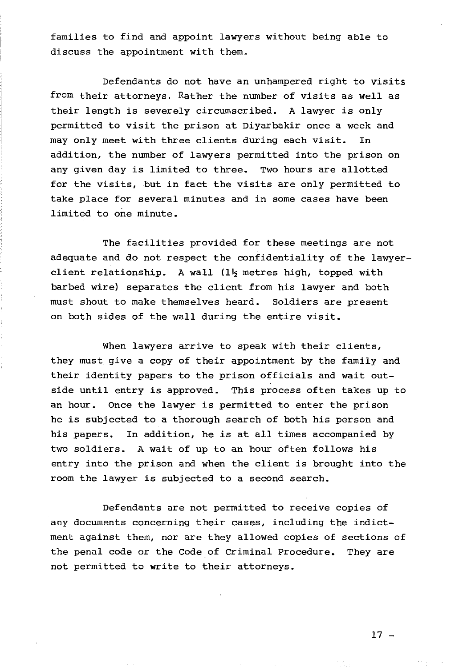**families to find and appoint lawyers without being able to discuss the appointment with them.**

**Defendants do not have an unhampered right to visits from their attorneys. Rather the number of visits as well as their length is severely circumscribed. A lawyer is only permitted to visit the prison at Diyarbakir once a week and may only meet with three clients during each visit. In addition, the number of lawyers permitted into the prison on any given day is limited to three. Two hours are allotted for the visits, but in fact the visits are only permitted to take place for several minutes and in some cases have been limited to one minute.**

**The facilities provided for these meetings are not adequate and do not respect the confidentiality of the lawyer**client relationship. A wall (1<sup>1</sup>/<sub>2</sub> metres high, topped with **barbed wire) separates the client from his lawyer and both must shout to make themselves heard. Soldiers are present on both sides of the wall during the entire visit.**

**When lawyers arrive to speak with their clients, they must give a copy of their appointment by the family and their identity papers to the prison officials and wait outside until entry is approved. This process often takes up to an hour. Once the lawyer is permitted to enter the prison he is subjected to a thorough search of both his person and his papers. In addition, he is at all times accompanied by two soldiers. A wait of up to an hour often follows his entry into the prison and when the client is brought into the room the lawyer is subjected to a second search.**

**Defendants are not permitted to receive copies of any documents concerning their cases, including the indictment against them, nor are they allowed copies of sections of the penal code or the Code of Criminal Procedure. They are not permitted to write to their attorneys.**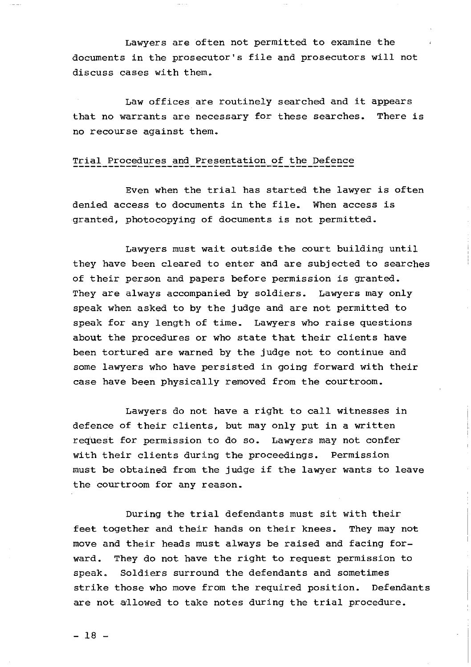Lawyers are often not permitted to examine the **documents in the prosecutor's file and prosecutors will not discuss cases with them.**

**Law offices are routinely searched and it appears that no warrants are necessary for these searches. There is no recourse against them.**

#### **Trial Procedures and Presentation of the Defence**

**Even when the trial has started the lawyer is often denied access to documents in the file. When access is granted, photocopying of documents is not permitted.**

**Lawyers must wait outside the court building until they have been cleared to enter and are subjected to searches of their person and papers before permission is granted. They are always accompanied by soldiers. Lawyers may only speak when asked to by the judge and are not permitted to speak for any length of time. Lawyers who raise questions about the procedures or who state that their clients have been tortured are warned by the judge not to continue and some lawyers who have persisted in going forward with their case have been physically removed from the courtroom.**

**Lawyers do not have a right to call witnesses in defence of their clients, but may only put in a written request for permission to do so. Lawyers may not confer with their clients during the proceedings. Permission must be obtained from the judge if the lawyer wants to leave the courtroom for any reason.**

**During the trial defendants must sit with their feet together and their hands on their knees. They may not move and their heads must always be raised and facing forward. They do not have the right to request permission to speak. Soldiers surround the defendants and sometimes strike those who move from the required position. Defendants are not aillowed to take notes during the trial procedure.**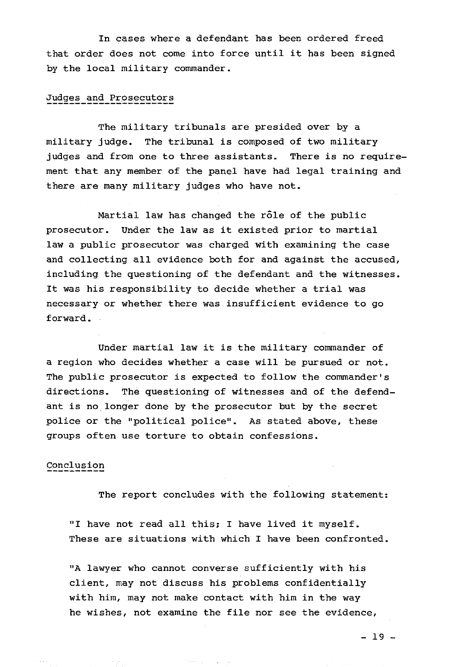**In cases where a defendant has been ordered freed that order does not come into force until it has been signed by the local military commander.**

#### **Judges and Prosecutors**

**The military tribunals are presided over by a military judge. The tribunal is composed of two military judges and from one to three assistants. There is no requirement that any member of the panel have had legal training and there are many military judges who have not.**

**Martial law has changed the role of the public prosecutor. Under the law as it existed prior to martial law a public prosecutor was charged with examining the case and collecting all evidence both for and against the accused, including the questioning of the defendant and the witnesses. It was his responsibility to decide whether a trial was necessary or whether there was insufficient evidence to go forward.**

**Under martial law it is the military commander of a region who decides whether a case will be pursued or not. The public prosecutor is expected to follow the commander's directions. The questioning of witnesses and of the defendant is no longer done by the prosecutor but by the secret police or the "political police". As stated above, these groups often use torture to obtain confessions.**

#### **Conclusion**

**The report concludes with the following statement:**

**"I have not read all this; I have lived it myself. These are situations with which I have been confronted.**

**"A lawyer who cannot converse sufficiently with his client, m ay not discuss his problems confidentially with him, may not make contact with him in the way he wishes, not examine the file nor see the evidence,**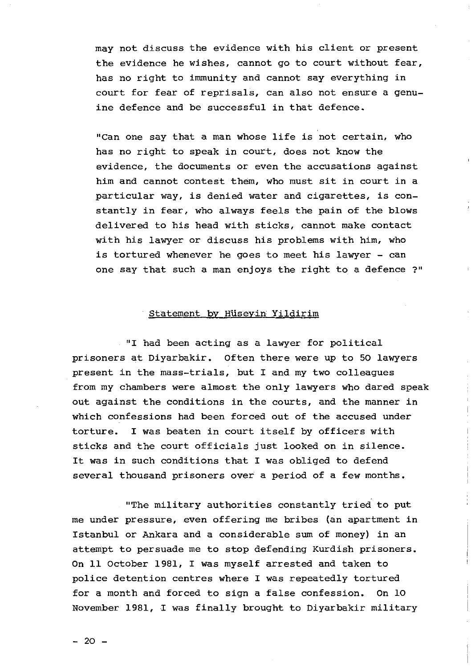**m ay not discuss the evidence with his client or present the evidence he wishes, cannot go to court without fear, has no right to immunity and cannot say everything in court for fear of reprisals, can also not ensure a genuine defence and be successful in that defence.**

"Can one say that a man whose life is not certain, who **has no right to speak in court, does not know the evidence, the documents or even the accusations against him and cannot contest them, who must sit in court in a particular way, is denied water and cigarettes, is constantly in fear, who always feels the pain of the blows delivered to his head with sticks, cannot make contact with his lawyer or discuss his problems with him, who is tortured whenever he goes to meet his lawyer - can one say that such a man enjoys the right to a defence ?"**

#### **Statement bv Husevin Yildirim**

**"I had been acting as a lawyer for political prisoners at Diyarbakir. Often there were up to 50 lawyers present in the mass-trials, but I and my two colleagues** from my chambers were almost the only lawyers who dared speak **out against the conditions in the courts, and the manner in which confessions had been forced out of the accused under torture. I was beaten in court itself by officers with sticks and the court officials just looked on in silence. It was in such conditions that I was obliged to defend several thousand prisoners over a period of a few months.**

**"The military authorities constantly tried to put me under pressure, even offering me bribes (an apartment in Istanbul or Ankara and a considerable sum of money) in an attempt to persuade me to stop defending Kurdish prisoners. On 11 October 1981, I was myself arrested and taken to police detention centres where I was repeatedly tortured for a month and forced to sign a false confession. On lo November 1981, I was finally brought to Diyarbakir military**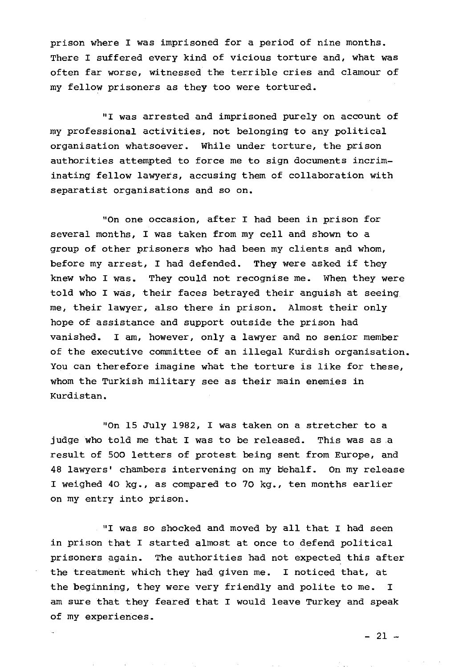**prison where I was imprisoned for a period of nine months. There I suffered every kind of vicious torture and, what was often far worse, witnessed the terrible cries and clamour of my fellow prisoners as they too were tortured.**

**"I was arrested and imprisoned purely on account of my professional activities, not belonging to any political organisation whatsoever. While under torture, the prison authorities attempted to force me to sign documents incriminating fellow lawyers, accusing them of collaboration with separatist organisations and so on.**

**"On one occasion, after I had been in prison for** several months, I was taken from my cell and shown to a **group of other prisoners who had been my clients and whom, before my arrest, I had defended. They were asked if they knew who I was. They could not recognise me. When they were told who I wais, their faces betrayed their anguish at seeing me, their lawyer, also there in prison. Almost their only hope of assistance and support outside the prison had vanished. I am, however, only a lawyer and no senior member of the executive committee of an illegal Kurdish organisation. You can therefore imagine what the torture is like for these, whom the Turkish military see as their main enemies in Kurdistan.**

**"On 15 July 1982, I was taken on a stretcher to a judge who told me that I was to be released. This was as a result of 500 letters of protest being sent from Europe, and** 48 lawyers' chambers intervening on my behalf. On my release **I weighed 40 kg., as compared to 70 kg., ten months earlier on my entry into prison.**

**"I was so shocked and moved by all that I had seen in prison that I started almost at once to defend political prisoners again. The authorities had not expected this after the treatment which they had given me. I noticed that, at the beginning, they were very friendly and polite to me. I am sure that they feared that I would leave Turkey and speak of my experiences.**

 $-21 -$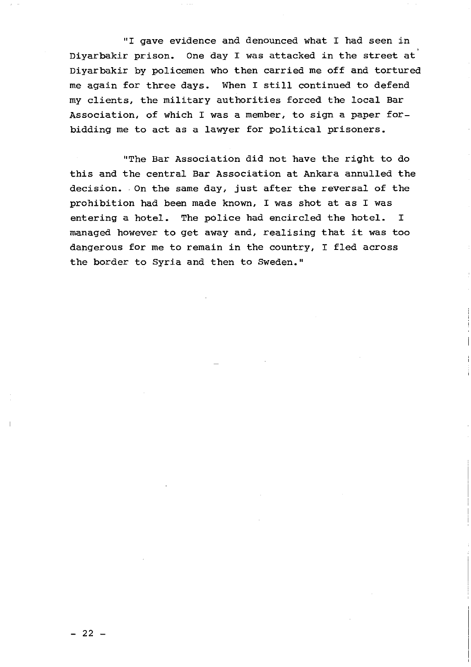**"I gave evidence and denounced what I had seen in Diyarbakir prison. One day I was attacked in the street at** Diyarbakir by policemen who then carried me off and tortured **me again for three days. When I still continued to defend my clients, the military authorities forced the local Bar Association, of which I was a member, to sign a paper forbidding me to act as a lawyer for political prisoners.**

**"The Bar Association did not have the right to do this and the central Bar Association at Ankara annulled the decision. On the same day, just after the reversal of the prohibition had been made known, I was shot at as I was entering a hotel. The police had encircled the hotel. I managed however to get away and, realising that it was too** dangerous for me to remain in the country, I fled across **the border to Syria and then to Sweden."**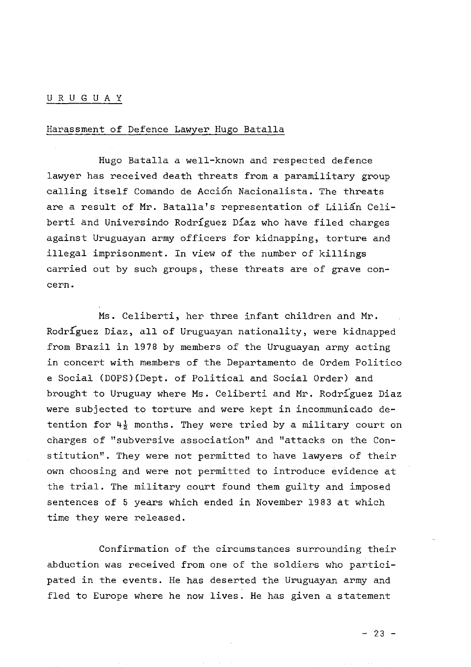#### URUGUAY

#### **Harassment of Defence Lawyer Hugo Batalla**

**Hugo Batalla a well-known and respected defence lawyer has received death threats from a paramilitary group calling itself Comando de Accion Nacionalista. The threats are a result of Mr. Batalla's representation of Lilian Celi**berti and Universindo Rodríguez Díaz who have filed charges **against Uruguayan army officers for kidnapping, torture and illegal imprisonment. In view of the number of killings** carried out by such groups, these threats are of grave con**cern .**

**Ms. Celiberti, her three infant children and Mr. Rodrxguez Diaz, all of Uruguayan nationality, were kidnapped** from Brazil in 1978 by members of the Uruguayan army acting **in concert with members of the Departamento de Ordem Politico** e Social (DOPS) (Dept. of Political and Social Order) and brought to Uruguay where Ms. Celiberti and Mr. Rodriguez Diaz **were subjected to torture and were kept in incommunicado de**tention for 4<sup>1</sup> months. They were tried by a military court on **charges of "subversive association" and "attacks on the Constitution". They were not permitted to have lawyers of their own choosing and were not permitted to introduce evidence at the trial. The military court found them guilty and imposed sentences of 5 years which ended in November 19 8 3 at which time they were released.**

**Confirmation of the circumstances surrounding their abduction was received from one of the soldiers who participated in the events. He has deserted the Uruguayan army and fled to Europe where he now lives. He has given a statement**

 $-23 -$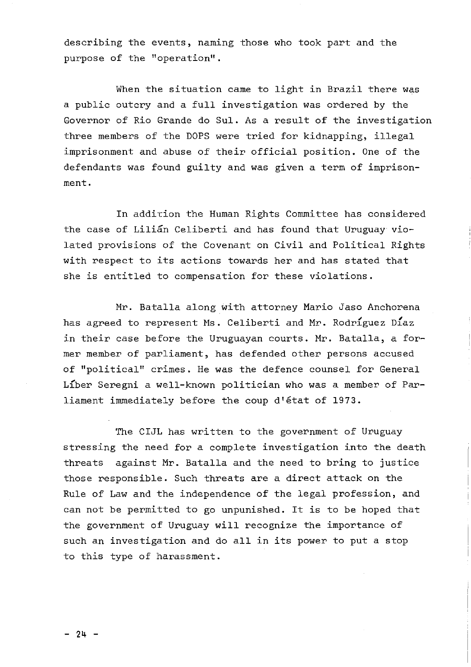**describing the events, naming those who took part and the purpose of the "operation".**

**When the situation came to light in Brazil there was a public outcry and a full investigation was ordered by the Governor of Rio Grande do Sul. As a result of the investigation three members of the DOPS were tried for kidnapping, illegal imprisonment and abuse of their official position. One of the defendants was found guilty and was given a term of imprisonment .**

**In addixion the Human Rights Committee has considered the case of Lilian Celiberti and has found that Uruguay violated provisions of the Covenant on Civil and Political Rights with respect to its actions towards her and has stated that she is entitled to compensation for these violations.**

**Mr. Batalla along with attorney Mario Jaso Anchorena has agreed to represent Ms. Celiberti and Mr. Rodriguez Diaz in their case before the Uruguayan courts. Mr. Batalla, a former member of parliament, has defended other persons accused** of "political" crimes. He was the defence counsel for General **Liber Seregni a well-known politician who was a member of Parliament immediately before the coup d'etat of 19 73.**

**The CIJL has written to the government of Uruguay stressing the need for a complete investigation into the death threats against Mr. Batalla and the need to bring to justice those responsible. Such threats are a direct attack on the Rule of Law and the independence of the legal profession, and** can not be permitted to go unpunished. It is to be hoped that **the government of Uruguay will recognize the importance of such an investigation and do all in its power to put a stop to this type of harassment.**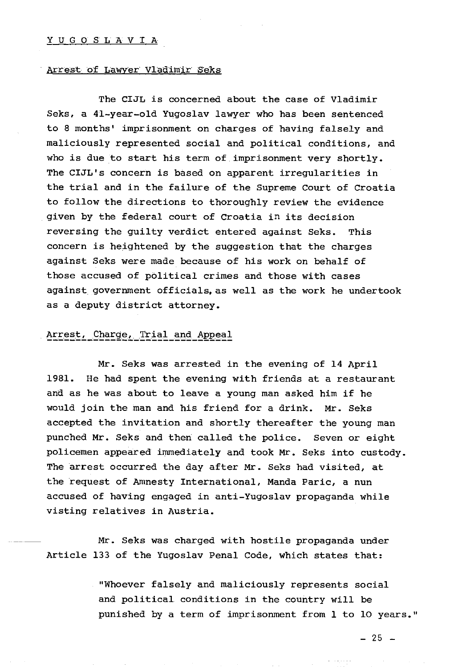#### **YUGOSLAVIA**

#### **Arrest of Lawyer Vladimir Seks**

**The CIJL is concerned about the case of Vladimir Seks, a 41-year-old Yugoslav lawyer who has been sentenced to 8 months' imprisonment on charges of having falsely and maliciously represented social and political conditions, and who is due to start his term of imprisonment very shortly.** The CIJL's concern is based on apparent irregularities in **the trial and in the failure of the Supreme Court of Croatia to follow the directions to thoroughly review the evidence given by the federal court of Croatia in its decision reversing the guilty verdict entered against Seks. This concern is heightened by the suggestion that the charges against Seks were made because of his work on behalf of those accused of political crimes and those with cases against government officials, as well as the work he undertook as a deputy district attorney.**

#### **Arrest^ Charge,\_Trial\_and\_Appeal**

**Mr. Seks was arrested in the evening of 14 April 1981. He had spent the evening with friends at a restaurant and as he was about to leave a young man asked him if he** would join the man and his friend for a drink. Mr. Seks **accepted the invitation and shortly thereafter the young man punched Mr. Seks and then called the police. Seven or eight policemen appeared immediately and took Mr. Seks into custody. The arrest occurred the day after Mr. Seks had visited, at the request of Amnesty International, Manda Paric, a nun accused of having engaged in anti-Yugoslav propaganda while visting relatives in Austria.**

**Mr. Seks was charged with hostile propaganda under Article 133 of the Yugoslav Penal Code, which states that:**

> **"Whoever falsely and maliciously represents social and political conditions in the country will be punished by a term of imprisonment from 1 to 10 years."**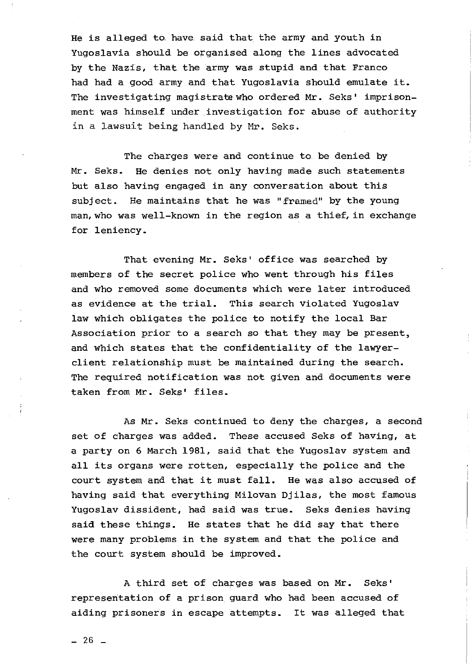He is alleged to have said that the army and youth in **Yugoslavia should be organised along the lines advocated by the Nazis, that the army was stupid and that Franco had had a good army and that Yugoslavia should emulate it.** The investigating magistrate who ordered Mr. Seks' imprison**ment was himself under investigation for abuse of authority in a lawsuit being handled by Mr. Seks.**

**The charges were and continue to be denied by Mr. Seks. He denies not only having made such statements but also having engaged in any conversation about this subject. He maintains that he was "framed" by the young man, who was well-known in the region as a thief, in exchange for leniency.**

That evening Mr. Seks' office was searched by **members of the secret police who went through his files and who removed some documents which were later introduced as evidence at the trial. This search violated Yugoslav law which obligates the police to notify the local Bar Association prior to a search so that they may be present, and which states that the confidentiality of the lawyerclient relationship must be maintained during the search. The required notification was not given and documents were taken from Mr. Seks' files.**

**As Mr. Seks continued to deny the charges, a second set of charges was added. These accused Seks of having, at a party on 6 March 1981, said that the Yugoslav system and all its organs were rotten, especially the police and the court system and that it must fall. He was also accused of having said that everything Milovan Djilas, the most famous Yugoslav dissident, had said was true. Seks denies having** said these things. He states that he did say that there **were many problems in the system and that the police and the court system should be improved.**

**A third set of charges was based on Mr. Seks' representation of a prison guard who had been accused of aiding prisoners in escape attempts. It was alleged that**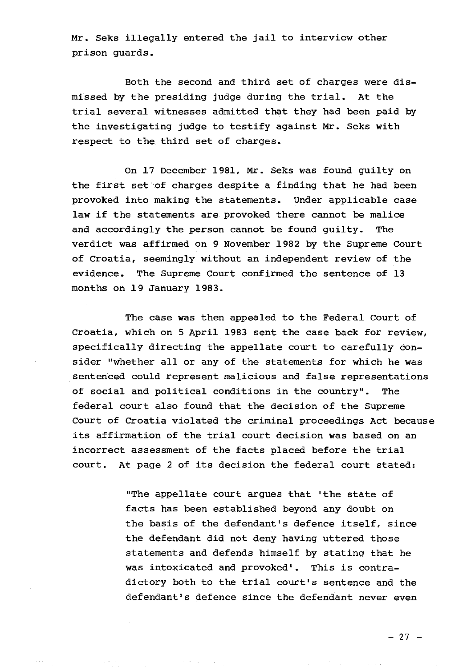**Mr. Seks illegally entered the jail to interview other prison guards.**

**Both the second and third set of charges were dismissed by the presiding judge during the trial. At the trial several witnesses admitted that they had been paid by the investigating judge to testify against Mr. Seks with respect to the third set of charges.**

**On 17 December 1981, Mr. Seks was found guilty on the first set of charges despite a finding that he had been provoked into making the statements. Under applicable case law if the statements are provoked there cannot be malice and accordingly the person cannot be found guilty. The verdict was affirmed on 9 November 1982 by the Supreme Court of Croatia, seemingly without an independent review of the evidence. The Supreme Court confirmed the sentence of 13 months on 19 January 1983.**

**The case was then appealed to the Federal Court of Croatia, which on 5 April 1983 sent the case back for review, specifically directing the appellate court to carefully consider "whether all or any of the statements for which he was sentenced could represent malicious and false representations of social and political conditions in the country". The federal court also found that the decision of the Supreme Court of Croatia violated the criminal proceedings Act because its affirmation of the trial court decision was based on an incorrect assessment of the facts placed before the trial court. At page 2 of its decision the federal court stated:**

> **"The appellate court argues that 'the state of facts has been established beyond any doubt on the basis of the defendant's defence itself, since the defendant did not deny having uttered those statements and defends himself by stating that he was intoxicated and provoked'. This is contradictory both to the trial court's sentence and the defendant's defence since the defendant never even**

> > $-27 -$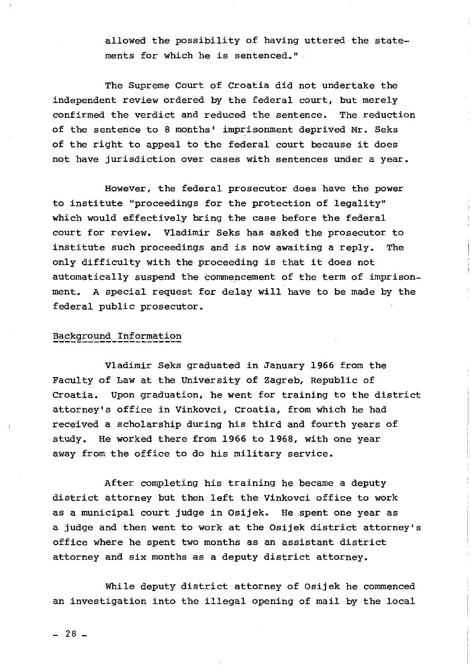**allowed the possibility of having uttered the statements for which he is sentenced."**

**The Supreme Court of Croatia did not undertake the independent review ordered by the federal court, but merely confirmed the verdict and reduced the sentence. The reduction of the sentence to 8 months' imprisonment deprived Mr. Seks of the right to appeal to the federal court because it does not have jurisdiction over cases with sentences under a year.**

**However, the federal prosecutor does have the power to institute "proceedings for the protection of legality" which would effectively bring the case before the federal court for review. Vladimir Seks has asked the prosecutor to institute such proceedings and is now awaiting a reply. The only difficulty with the proceeding is that it does not automatically suspend the commencement of the term of imprisonment. A special request for delay will have to be made by the federal public prosecutor.**

#### **Background Information**

**Vladimir Seks graduated in January 1966 from the** Faculty of Law at the University of Zagreb, Republic of Croatia. Upon graduation, he went for training to the district **attorney's office in Vinkovci, Croatia, from which he had received a scholarship during his third and fourth years of study. He worked there from 1966 to 1968, with one year away from the office to do his military service.**

**After completing his training he became a deputy district attorney but then left the Vinkovci office to work as a municipal court judge in Osijek. He spent one year as a judge and then went to work at the Osijek district attorney's office where he spent two months as an assistant district attorney and six months as a deputy district attorney.**

**While deputy district attorney of Osijek he commenced an investigation into the illegal opening of mail by the local**

 $-28$  –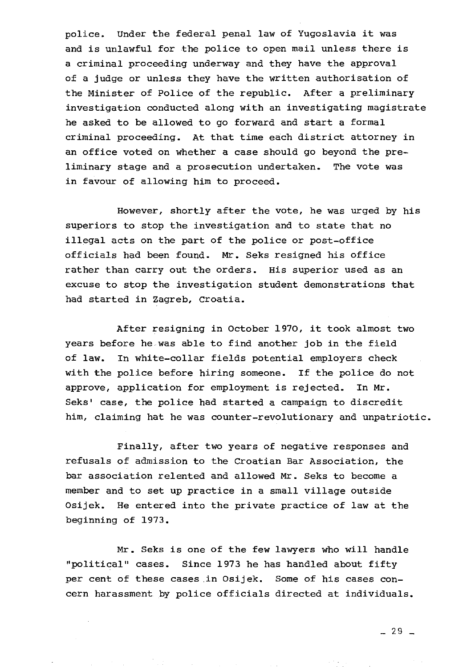**police. Under the federal penal law of Yugoslavia it was and is unlawful for the police to open mail unless there is a criminal proceeding underway and they have the approval of a judge or unless they have the written authorisation of the Minister of Police of the republic. After a preliminary investigation conducted along with an investigating magistrate he asked to be allowed to go forward and start a formal criminal proceeding. At that time each district attorney in** an office voted on whether a case should go beyond the pre**liminary stage and a prosecution undertaken. The vote was in favour of allowing him to proceed.**

**However, shortly after the vote, he was urged by his superiors to stop the investigation and to state that no illegal acts on the part of the police or post-office officials had been found. Mr. Seks resigned his office rather than carry out the orders. His superior used as an excuse to stop the investigation student demonstrations that had started in Zagreb, Croatia.**

**After resigning in October 1970, it took almost two years before he was able to find another job in the field of law. In white-collar fields potential employers check with the police before hiring someone. If the police do not approve, application for employment is rejected. In Mr.** Seks' case, the police had started a campaign to discredit **him, claiming hat he was counter-revolutionary and unpatriotic.**

**Finally, after two years of negative responses and refusals of admission to the Croatian Bar Association, the bar association relented and allowed Mr. Seks to become a member and to set up practice in a small village outside Osijek. He entered into the private practice of law at the beginning of 1973.**

**Mr. Seks is one of the few lawyers who will handle "political" cases. Since 1973 he has handled about fifty per cent of these cases in Osijek. Some of his cases concern harassment by police officials directed at individuals.**

 $-29 -$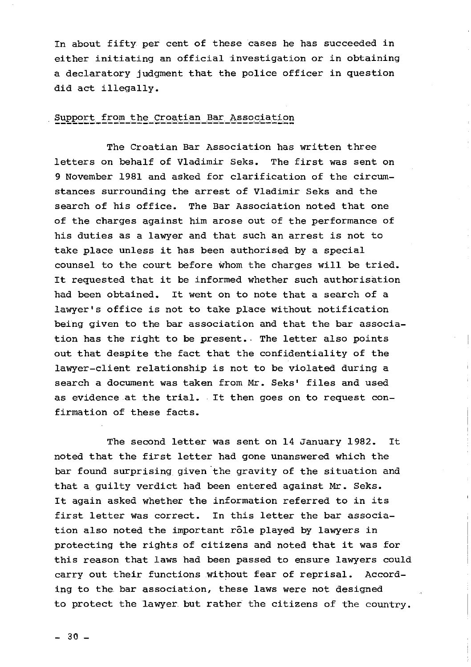**In about fifty per cent of these cases he has succeeded in either initiating an official investigation or in obtaining a declaratory judgment that the police officer in question did act illegally.**

#### **Support from the Croatian Bar Association**

**The Croatian Bar Association has written three letters on behalf of Vladimir Seks. The first was sent on 9 November 1981 and asked for clarification of the circumstances surrounding the arrest of Vladimir Seks and the search of his office. The Bar Association noted that one of the charges against him arose out of the performance of his duties as a lawyer and that such an arrest is not to take place unless it has been authorised by a special counsel to the court before whom the charges will be tried. It requested that it be informed whether such authorisation had been obtained. It went on to note that a search of a lawyer's office is not to take place without notification being given to the bar association and that the bar association has the right to be present.- The letter also points out that despite the fact that the confidentiality of the lawyer-client relationship is not to be violated during a search a document was taken from Mr. Seks' files and used as evidence at the trial. It then goes on to request confirmation of these facts.**

**The second letter was sent on 14 January 1982. It noted that the first letter had gone unanswered which the bar found surprising given the gravity of the situation and that a guilty verdict had been entered against Mr. Seks. It again asked whether the information referred to in its first letter was correct. In this letter the bar associa**tion also noted the important role played by lawyers in **protecting the rights of citizens and noted that it was for this reason that laws had been passed to ensure lawyers could carry out their functions without fear of reprisal. According to the bar association, these laws were not designed to protect the lawyer but rather the citizens of the country.**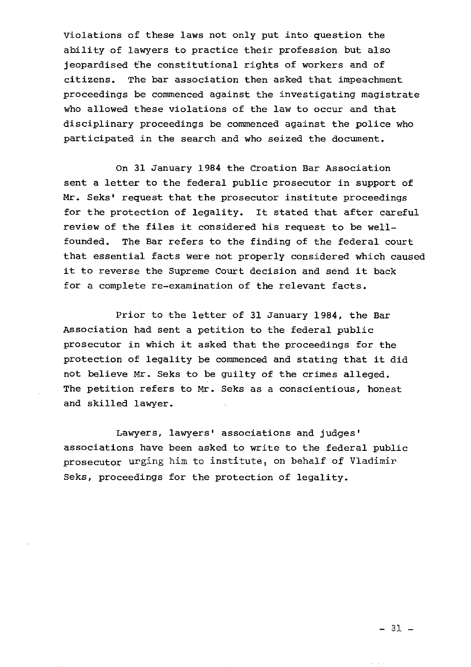**Violations of these laws not only put into question the ability of lawyers to practice their profession but also jeopardised the constitutional rights of workers and of citizens. The bar association then asked that impeachment proceedings be commenced against the investigating magistrate who allowed these violations of the law to occur and that disciplinary proceedings be commenced against the police who participated in the search and who seized the document.**

**On 31 January 1984 the Croation Bar Association sent a letter to the federal public prosecutor in support of** Mr. Seks' request that the prosecutor institute proceedings **for the protection of legality. It stated that after careful r eview of the files it considered his request to be wellfounded. The Bar refers to the finding of the federal court that essential facts were not properly considered which caused it to reverse the Supreme Court decision and send it back for a complete re-examination of the relevant facts.**

**Prior to the letter of 31 January 1984, the Bar Association had sent a petition to the federal public prosecutor in which it asked that the proceedings for the protection of legality be commenced and stating that it did not believe Mr. Seks to be guilty of the crimes alleged. The petition refers to Mr. Seks as a conscientious, honest and skilled lawyer.**

**Lawyers, lawyers' associations and judges' associations have been asked to write to the federal public** prosecutor urging him to institute, on behalf of Vladimir **Seks, proceedings for the protection of legality.**

 $-31 -$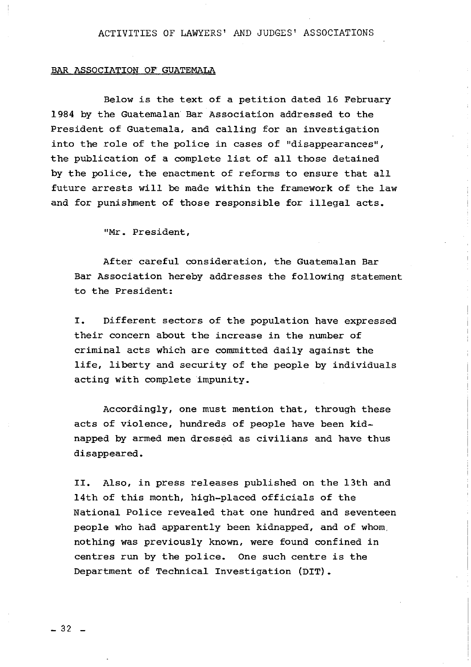#### ACTIVITIES OF LAWYERS' AND JUDGES' ASSOCIATIONS

#### **BAR ASSOCIATION OF GUATEMALA**

**Below is the text of a petition dated 16 February 1984 by the Guatemalan Bar Association addressed to the President of Guatemala, and calling for an investigation into the role of the police in cases of "disappearances", the publication of a complete list of all those detained by the police, the enactment of reforms to ensure that all future arrests will be made within the framework of the law and for punishment of those responsible for illegal acts.**

**"Mr. President,**

**After careful consideration, the Guatemalan Bar Bar Association hereby addresses the following statement to the President:**

**I. Different sectors of the population have expressed their concern about the increase in the number of criminal acts which are committed daily against the life, liberty and security of the people by individuals acting with complete impunity.**

**Accordingly, one must mention that, through these acts of violence, hundreds of people have been kidnapped by armed men dressed as civilians and have thus disappeared.**

**II. Also, in press releases published on the 13th and 14th of this month, high-placed officials of the National Police revealed that one hundred and seventeen people who had apparently been kidnapped, and of whom, nothing was previously known, were found confined in centres run by the police. One such centre is the Department of Technical Investigation (DIT).**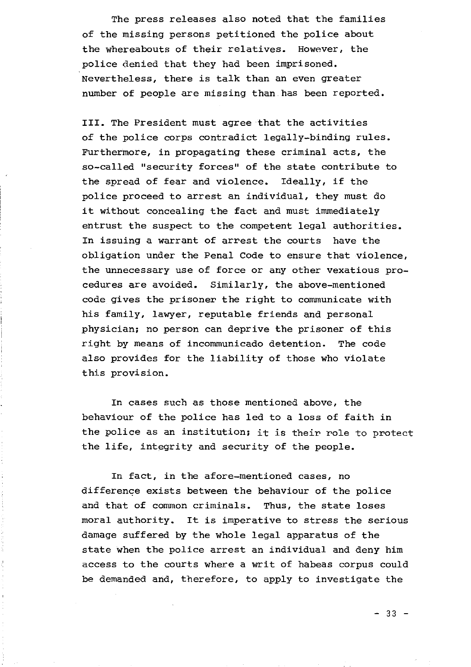**The press releases also noted that the families of the missing persons petitioned the police about the whereabouts of their relatives. However, the police denied that they had been imprisoned. Nevertheless, there is talk than an even greater number of people are missing than has been reported.**

**III. The President must agree that the activities of the police corps contradict legally-binding rules. Furthermore, in propagating these criminal acts, the so-called "security forces" of the state contribute to the spread of fear and violence. Ideally, if the police proceed to arrest an individual, they must do it without concealing the fact and must immediately entrust the suspect to the competent legal authorities. In issuing a warrant of arrest the courts have the obligation under the Penal Code to ensure that violence, the unnecessary use of force or any other vexatious procedures are avoided. Similarly, the above-mentioned code gives the prisoner the right to communicate with his family, lawyer, reputable friends and personal physician; no person can deprive the prisoner of this right by means of incommunicado detention. The code also provides for the liability of those who violate this provision.**

**In cases such as those mentioned above, the behaviour of the police has led to a loss of faith in the police as an institution; it is their role to protect the life, integrity and security of the people.**

**In fact, in the afore-mentioned cases, no difference exists between the behaviour of the police and that of common criminals. Thus, the state loses moral authority. It is imperative to stress the serious damage suffered by the whole legal apparatus of the state when the police arrest an individual and deny him access to the courts where a writ of habeas corpus could be demanded and, therefore, to apply to investigate the**

 $-33 -$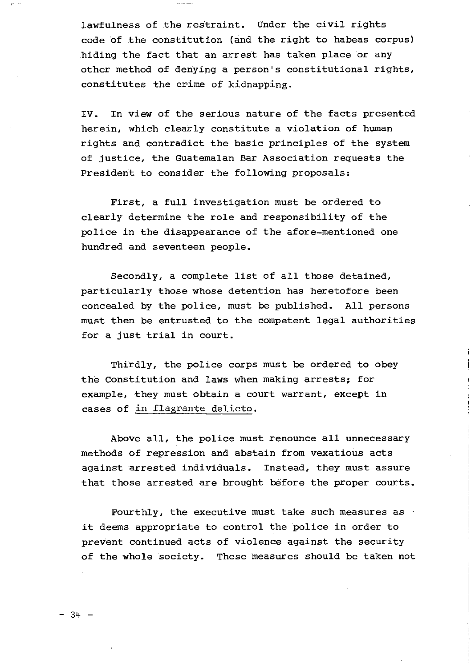**lawfulness of the restraint. Under the civil rights code of the constitution (and the right to habeas corpus) hiding the fact that an arrest has taken place or any other method of denying a person's constitutional rights, constitutes the crime of kidnapping.**

**IV. In view of the serious nature of the facts presented herein, which clearly constitute a violation of human rights and contradict the basic principles of the system of justice, the Guatemalan Bar Association requests the President to consider the following proposals:**

**First, a full investigation must be ordered to clearly determine the role and responsibility of the police in the disappearance of the afore-mentioned one hundred and seventeen people.**

**Secondly, a complete list of all those detained, particularly those whose detention has heretofore been concealed by the police, must be published. All persons** must then be entrusted to the competent legal authorities **for a just trial in court.**

**Thirdly, the police corps must be ordered to obey the Constitution and laws when making arrests; for example, they must obtain a court warrant, except in** cases of in flagrante delicto.

**Above all, the police must renounce all unnecessary methods of repression and abstain from vexatious acts against arrested individuals. Instead, they must assure that those arrested are brought before the proper courts.**

**Fourthly, the executive must take such measures as it deems appropriate to control the police in order to prevent continued acts of violence against the security of the whole society. These measures should be taken not**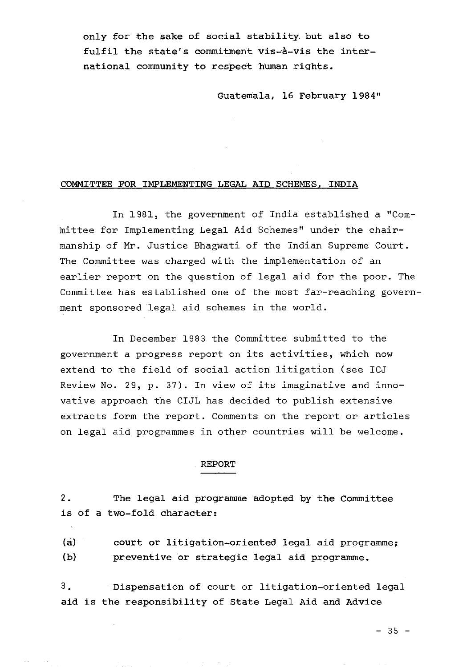**only for the sake of social stability but also to** fulfil the state's commitment vis-à-vis the inter**national community to respect human rights.**

**Guatemala, 16 February 1984"**

#### COMMITTEE FOR IMPLEMENTING LEGAL AID SCHEMES, INDIA

**In 1981, the government of India established a "Committee for Implementing Legal Aid Schemes" under the chairmanship of Mr. Justice Bhagwati of the Indian Supreme Court. The Committee was charged with the implementation of an earlier report on the question of legal aid for the poor. The Committee has established one of the most far-reaching government sponsored legal aid schemes in the world.**

In December 1983 the Committee submitted to the **government a progress report on its activities, which now extend to the field of social action litigation (see ICJ Review No. 29, p. 37). In view of its imaginative and innovative approach the CIJL has decided to publish extensive extracts form the report. Comments on the report or articles on legal aid programmes in other countries will be welcome.**

#### **REPORT**

**2. The legal aid programme adopted by the Committee is of a two-fold character:**

**(a) court or litigation-oriented legal aid programme; (b) preventive or strategic legal aid programme.**

**3. Dispensation of court or litigation-oriented legal aid is the responsibility of State Legal Aid and Advice**

 $-35 -$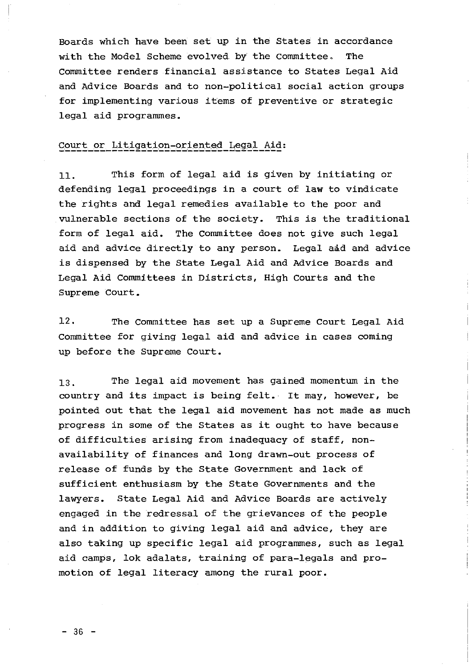**Boards which have been set up in the States in accordance with the Model Scheme evolved by the Committee. The Committee renders financial assistance to States Legal Aid and Advice Boards and to non-political social action groups for implementing various items of preventive or strategic legal aid programmes.**

#### **Court or Litigation-oriented\_Legal\_Aid:**

1 1 **. This form of legal aid is given by initiating or defending legal proceedings in a court of law to vindicate the rights and legal remedies available to the poor and vulnerable sections of the society. This is the traditional form of legal aid. The Committee does not give such legal aid and advice directly to any person. Legal aad and advice is dispensed by the State Legal Aid and Advice Boards and** Legal Aid Committees in Districts, High Courts and the Supreme Court.

**12. The Committee has set up a Supreme Court Legal Aid Committee for giving legal aid and advice in cases coming up before the Supreme Court.**

1 3 **. The legal aid movement has gained momentum in the** country and its impact is being felt. It may, however, be **pointed out that the legal aid movement has not made as much progress in some of the States as it ought to have because of difficulties arising from inadequacy of staff, nonavailability of finances and long drawn-out process of release of funds by the State Government and lack of sufficient enthusiasm by the State Governments and the lawyers. State Legal Aid and Advice Boards are actively engaged in the redressal of the grievances of the people and in addition to giving legal aid and advice, they are also taking up specific legal aid programmes, such as legal** aid camps, lok adalats, training of para-legals and pro**motion of legal literacy among the rural poor.**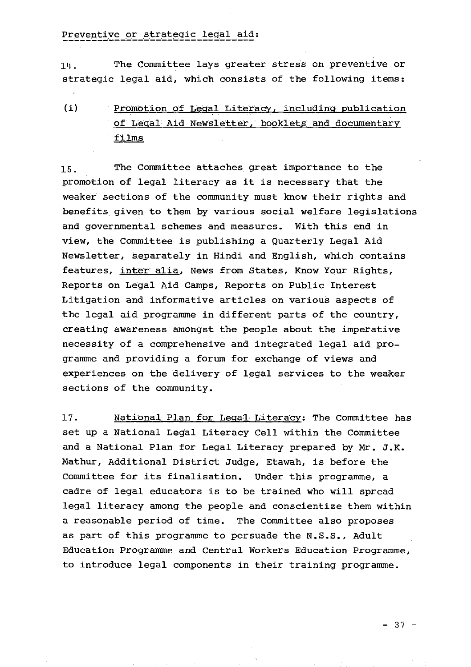#### **Preventive or strategic legal aid:**

14. The Committee lays greater stress on preventive or **strategic legal aid, which consists of the following items:**

**(i) Promotion of Legal Literacy, including publication of Legal Aid Newsletter, booklets and documentary films**

15. The Committee attaches great importance to the **promotion of legal literacy as it is necessary that the weaker sections of the community must know their rights and benefits given to them by various social welfare legislations and governmental schemes and measures. With this end in view, the Committee is publishing a Quarterly Legal Aid Newsletter, separately in Hindi and English, which contains** features, inter alia, News from States, Know Your Rights, **Reports on Legal Aid Camps, Reports on Public Interest Litigation and informative articles on various aspects of the legal aid programme in different parts of the country, creating awareness amongst the people about the imperative necessity of a comprehensive and integrated legal aid programme and providing a forum for exchange of views and experiences on the delivery of legal services to the weaker sections of the community.**

**17. National Plan for Legal Literacy; The Committee has set up a National Legal Literacy Cell within the Committee and a National Plan for Legal Literacy prepared by Mr. J.K. Mathur, Additional District Judge, Etawah, is before the Committee for its finalisation. Under this programme, a cadre of legal educators is to be trained who will spread legal literacy among the people and conscientize them within a reasonable period of time. The Committee also proposes as part of this programme to persuade the N.S.S., Adult Education Programme and Central Workers Education Programme, to introduce legal components in their training programme.**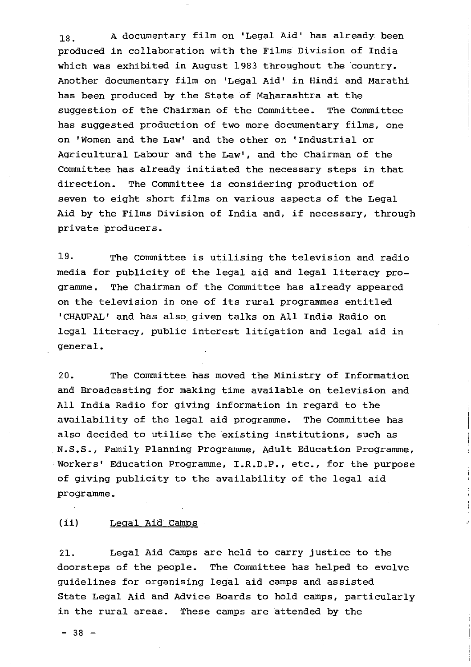**1 8 \_ A documentary film on 'Legal Aid" has already been produced in collaboration with the Films Division of India which was exhibited in August 1983 throughout the country. Another documentary film on 'Legal Aid' in Hindi and Marathi has been produced by the State of Maharashtra at the suggestion of the Chairman of the Committee. The Committee has suggested production of two more documentary films, one on 'Women and the Law' and the other on 'Industrial or** Agricultural Labour and the Law', and the Chairman of the **Committee has already initiated the necessary steps in that direction. The Committee is considering production of seven to eight short films on various aspects of the Legal Aid by the Films Division of India and, if necessary, through private producers.**

**19- The Committee is utilising the television and radio media for publicity of the legal aid and legal literacy programme . The Chairman of the Committee has already appeared on the television in one of its rural programmes entitled 'CHAUPAL' and has also given talks on All India Radio on legal literacy, public interest litigation and legal aid in general**.

**20. The Committee has moved the Ministry of Information and Broadcasting for making time available on television and All India Radio for giving information in regard to the availability of the legal aid programme. The Committee has also decided to utilise the existing institutions, such as N.S.S., Family Planning Programme, Adult Education Programme, Workers' Education Programme, I.R.D.P., etc., for the purpose of giving publicity to the availability of the legal aid** programme.

#### **(ii) Legal Aid Camps**

**21. Legal Aid Camps are held to carry justice to the doorsteps of the people. The Committee has helped to evolve guidelines for organising legal aid camps and assisted State Legal Aid and Advice Boards to hold camps, particularly in the rural areas. These camps are attended by the**

 $-38 -$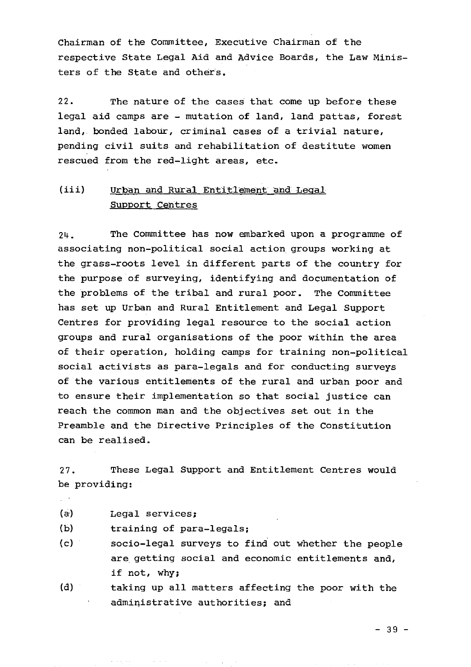**Chairman of the Committee, Executive Chairman of the** respective State Legal Aid and Advice Boards, the Law Minis**ters of the State and others.**

**22. The nature of the cases that come up before these legal aid camps are - mutation of land, land pattas, forest land, bonded labour, criminal cases of a trivial nature, pending civil suits and rehabilitation of destitute women rescued from the red-light areas, etc.**

## **(iii) Urban and Rural Entitlement and Legal Support Centres**

24. The Committee has now embarked upon a programme of **associating non-political social action groups working at the grass-roots level in different parts of the country for the purpose of surveying, identifying and documentation of the problems of the tribal and rural poor. The Committee has set up Urban and Rural Entitlement and Legal Support Centres for providing legal resource to the social action groups and rural organisations of the poor within the area of their operation, holding camps for training non-political social activists as para-legals and for conducting surveys of the various entitlements of the rural and urban poor and to ensure their implementation so that social justice can reach the common man and the objectives set out in the Preamble and the Directive Principles of the Constitution can be realised.**

**27. These Legal Support and Entitlement Centres would be providing:**

**(a) Legal services;**

and a state

 $\mathbb{R}^{\mathbb{Z}^2}$ 

- **(b) training of para-legals;**
- **(c) socio-legal surveys to find out whether the people are getting social and economic entitlements and, if not, why;**
- **(d) taking up all matters affecting the poor with the administrative authorities; and**

 $-39 -$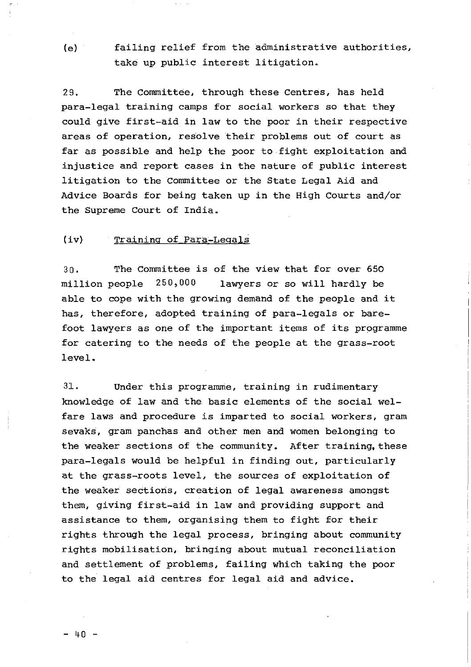**(e) failing relief from the administrative authorities, take up public interest litigation.**

**29. The Committee, through these Centres, has held para-legal training camps for social workers so that they could give first-aid in law to the poor in their respective areas of operation, resolve their problems out of court as far as possible and help the poor to fight exploitation and injustice and report cases in the nature of public interest litigation to the Committee or the State Legal Aid and Advice Boards for being taken up in the High Courts and/or the Supreme Court of India.**

#### **(iv) Training of Para-Leaals**

**30. The Committee is of the view that for over 650 million people 25 0,000 lawyers or so will hardly be able to cope with the growing demand of the people and it has, therefore, adopted training of para-legals or barefoot lawyers as one of the important items of its programme for catering to the needs of the people at the grass-root level.**

**31. Under this programme, training in rudimentary** knowledge of law and the basic elements of the social wel**fare laws and procedure is imparted to social workers, gram sevaks, gram panchas and other men and women belonging to the weaker sections of the community. After training, these para-legals would be helpful in finding out, particularly at the grass-roots level, the sources of exploitation of the weaker sections, creation of legal awareness amongst them, giving first-aid in law and providing support and assistance to them, organising them to fight for their rights through the legal process, bringing about community rights mobilisation, bringing about mutual reconciliation and settlement of problems, failing which taking the poor to the legal aid centres for legal aid and advice.**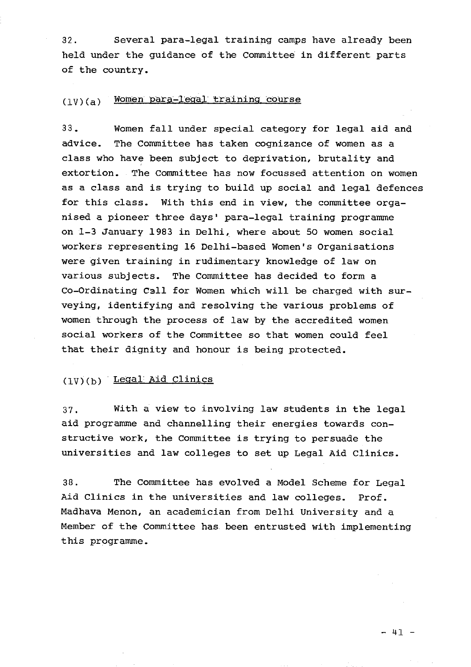**32. Several para-legal training camps have already been held under the guidance of the Committee in different parts of the country.**

#### **(lV)(a) Women para-legal training course**

**33. Women fall under special category for legal aid and advice. The Committee has taken cognizance of women as a class who have been subject to deprivation, brutality and extortion. The Committee has now focussed attention on women as a class and is trying to build up social and legal defences for this class. With this end in view, the committee organised a pioneer three days' para-legal training programme on 1-3 January 1983 in Delhi, where about 50 women social workers representing 16 Delhi-based Women's Organisations were given training in rudimentary knowledge of law on various subjects. The Committee has decided to form a Co-Ordinating Call for Women which will be charged with surveying, identifying and resolving the various problems of women through the process of law by the accredited women social workers of the Committee so that women could feel that their dignity and honour is being protected.**

#### **(IV)(b) Legal Aid Clinics**

3 7 **. With a view to involving law students in the legal aid programme and channelling their energies towards constructive work, the Committee is trying to persuade the universities and law colleges to set up Legal Aid Clinics.**

**38. The Committee has evolved a Model Scheme for Legal Aid Clinics in the universities and law colleges. Prof. Madhava Menon, an academician from Delhi University and a Member of the Committee has been entrusted with implementing this programme.**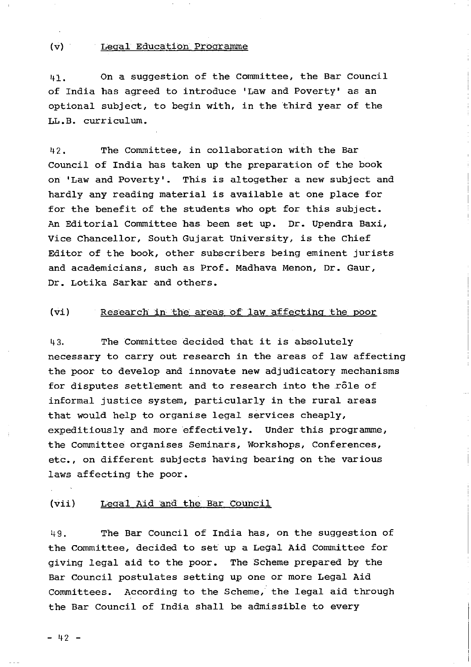#### **(v) Legal Education Programme**

4 1 **. On a suggestion of the Committee, the Bar Council of India has agreed to introduce 'Law and Poverty' as an optional subject, to begin with, in the third year of the LL.B. curriculum.**

**42. The Committee, in collaboration with the Bar Council of India has taken up the preparation of the book on 'Law and Poverty'. This is altogether a new subject and hardly any reading material is available at one place for for the benefit of the students who opt for this subject. An Editorial Committee has been set up. Dr. Upendra Baxi, Vice Chancellor, South Gujarat University, is the Chief Editor of the book, other subscribers being eminent jurists and academicians, such as Prof. Madhava Menon, Dr. Gaur, Dr. Lotika Sarkar and others.**

#### (vi) Research in the areas of law affecting the poor

**4 3. The Committee decided that it is absolutely necessary to carry out research in the areas of law affecting the poor to develop and innovate new adjudicatory mechanisms** for disputes settlement and to research into the role of **informal justice system, particularly in the rural areas that would help to organise legal services cheaply, expeditiously and more effectively. Under this programme, the Committee organises Seminars, Workshops, Conferences, etc., on different subjects having bearing on the various laws affecting the poor.**

#### (vii) Legal Aid and the Bar Council

4 9 **. The Bar Council of India has, on the suggestion of the Committee, decided to set up a Legal Aid Committee for giving legal aid to the poor. The Scheme prepared by the Bar Council postulates setting up one or more Legal Aid Committees. According to the Scheme, the legal aid through the Bar Council of India shall be admissible to every**

 $-42 -$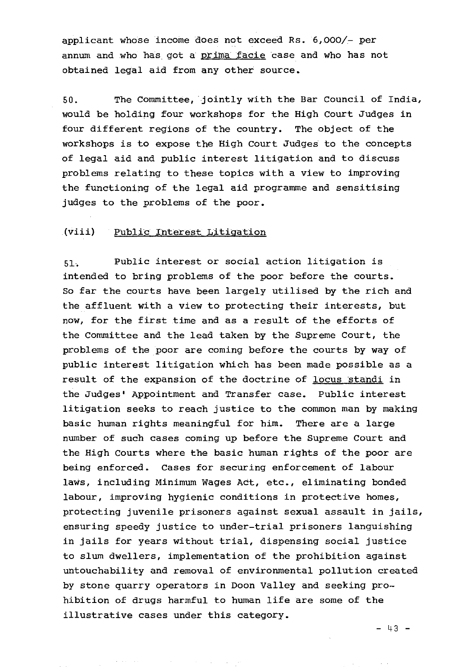**applicant whose income does not exceed Rs. 6,000/- per annum and who has got a prima facie case and who has not obtained legal aid from any other source.**

50. The Committee, jointly with the Bar Council of India, **would be holding four workshops for the High Court Judges in four different regions of the country. The object of the workshops is to expose the High Court Judges to the concepts of legal aid and public interest litigation and to discuss** problems relating to these topics with a view to improving **the functioning of the legal aid programme and sensitising judges to the problems of the poor.**

#### **(viii) Public Interest Litigation**

 $\omega$  ,  $\omega$  ,  $\omega$  ,  $\omega$  ,

51. Public interest or social action litigation is **intended to bring problems of the poor before the courts. So far the courts have been largely utilised by the rich and the affluent with a view to protecting their interests, but now, for the first time and as a result of the efforts of the Committee and the lead taken by the Supreme Court, the problems of the poor are coming before the courts by way of public interest litigation which has been made possible as a result of the expansion of the doctrine of locus standi in the Judges' Appointment and Transfer case. Public interest litigation seeks to reach justice to the common man by making basic human rights meaningful for him. There are a large number of such cases coming up before the Supreme Court and the High Courts where the basic human rights of the poor are being enforced. Cases for securing enforcement of labour laws, including Minimum Wages Act, etc., eliminating bonded labour, improving hygienic conditions in protective homes, protecting juvenile prisoners against sexual assault in jails ensuring speedy justice to under-trial prisoners languishing in jails for years without trial, dispensing social justice to slum dwellers, implementation of the prohibition against untouchability and removal of environmental pollution created by stone quarry operators in Doon Valley and seeking prohibition of drugs harmful to human life are some of the illustrative cases under this category.**

 $-43 -$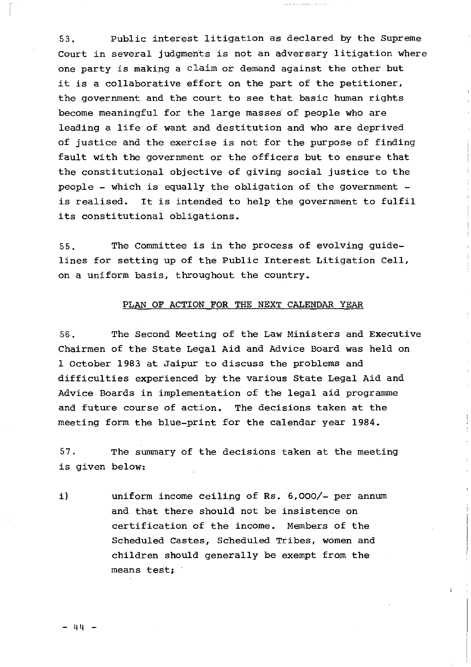**53. Public interest litigation as declared by the Supreme Court in several judgments is not an adversary litigation where one party is making a claim or demand against the other but it is a collaborative effort on the part of the petitioner, the government and the court to see that basic human rights become meaningful for the large masses of people who are leading a life of want and destitution and who are deprived of justice and the exercise is not for the purpose of finding fault with the government or the officers but to ensure that the constitutional objective of giving social justice to the people - which is equally the obligation of the government is realised. It is intended to help the government to fulfil its constitutional obligations.**

**55. The Committee is in the process of evolving guidelines for setting up of the Public Interest Litigation Cell, on a uniform basis, throughout the country.**

#### **PLAN OF ACTION FOR THE NEXT CALENDAR YEAR**

**56. The Second Meeting of the L aw Ministers and Executive** Chairmen of the State Legal Aid and Advice Board was held on **1 October 1983 at Jaipur to discuss the problems and difficulties experienced by the various State Legal Aid and Advice Boards in implementation of the legal aid programme and future course of action. The decisions taken at the meeting form the blue-print for the calendar year 1984.**

**57. The summary of the decisions taken at the meeting is given below:**

**i) uniform income ceiling of Rs. 6,000/- per annum and that there should not be insistence on certification of the income. Members of the Scheduled Castes, Scheduled Tribes, women and children should generally be exempt from the means test;**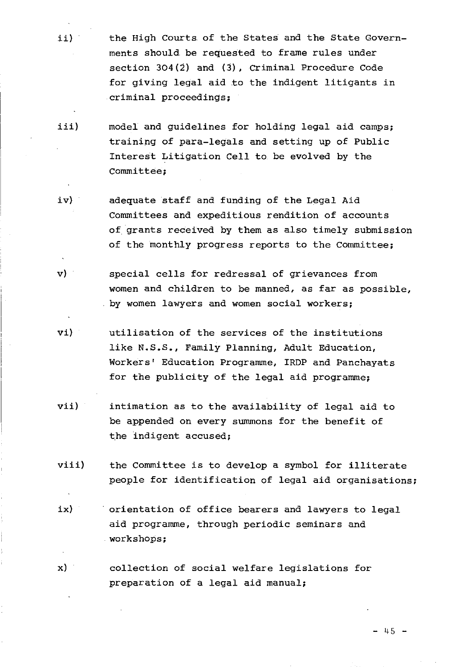- $\mathbf{i}$   $\mathbf{i}$   $\mathbf{j}$ **the High Courts of the States and the State Governments should be requested to frame rules under section 304(2) and (3), Criminal Procedure Code for giving legal aid to the indigent litigants in criminal proceedings;**
- iii) **model and guidelines for holding legal aid camps; training of para-legals and setting up of Public Interest Litigation Cell to be evolved by the Committee;**
- **iv) adequate staff and funding of the Legal Aid Committees and expeditious rendition of accounts of grants received by them as also timely submission of the monthly progress reports to the Committee;**
- **v) special cells for redressal of grievances from women and children to be manned, as far as possible, by women lawyers and women social workers;**
- **vi) utilisation of the services of the institutions like N.S.S., Family Planning, Adult Education, Workers' Education Programme, IRDP and Panchayats for the publicity of the legal aid programme;**
- **vii) intimation as to the availability of legal aid to be appended on every summons for the benefit of the indigent accused;**
- **viii) the Committee is to develop a symbol for illiterate people for identification of legal aid organisations**
- **ix) orientation of office bearers and lawyers to legal aid programme, through periodic seminars and workshops;**
- $\mathbf{x}$ ) **collection of social welfare legislations for preparation of a legal aid manual;**

 $-45 -$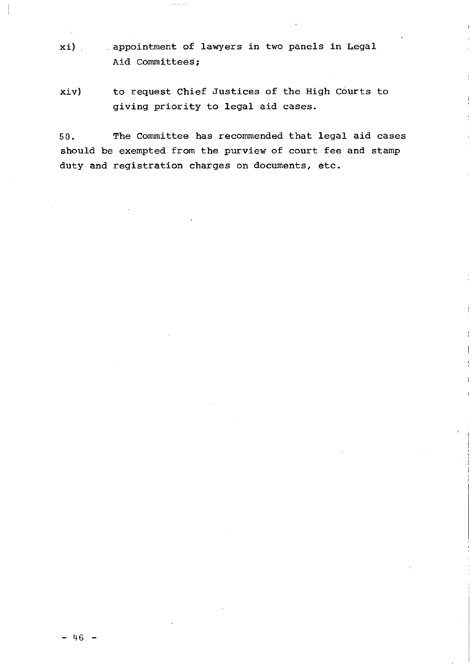**xi) , appointment of lawyers in two panels in Legal Aid Committees;**

and and the

**xiv) to request Chief Justices of the High Courts to giving priority to legal aid cases.**

 $\mathfrak j$ 

**50. The Committee has recommended that legal aid cases should be exempted from the purview of court fee and stamp duty and registration charges on documents, etc.**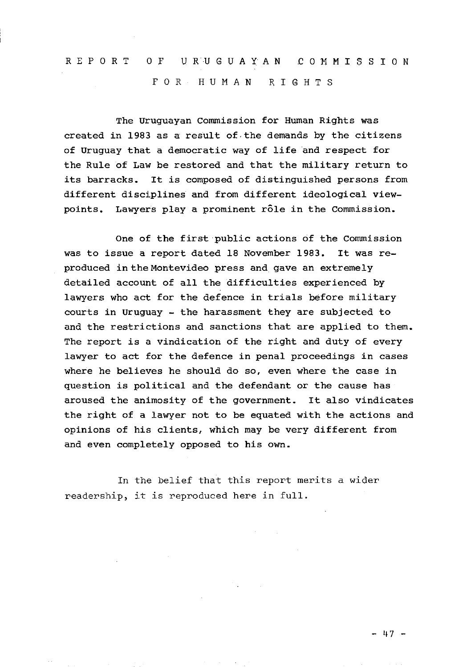## REPORT OF URUGUAYAN COMMISSION FOR HUMAN RIGHTS

**The Uruguayan Commission for Human Rights was created in 1983 as a result of the demands by the citizens of Uruguay that a democratic way of life and respect for the Rule of Law be restored and that the military return to its barracks. It is composed of distinguished persons from different disciplines and from different ideological view**points. Lawyers play a prominent role in the Commission.

**One of the first public actions of the Commission was to issue a report dated 18 November 1983. It was reproduced in the Montevideo press and gave an extremely detailed account of all the difficulties experienced by lawyers who act for the defence in trials before military courts in Uruguay - the harassment they are subjected to and the restrictions and sanctions that are applied to them. The report is a vindication of the right and duty of every lawyer to act for the defence in penal proceedings in cases where he believes he should do so, even where the case in question is political and the defendant or the cause has aroused the animosity of the government. It also vindicates the right of a lawyer not to be equated with the actions and opinions of his clients, which may be very different from and even completely opposed to his own.**

In the belief that this report merits a wider readership, it is reproduced here in full.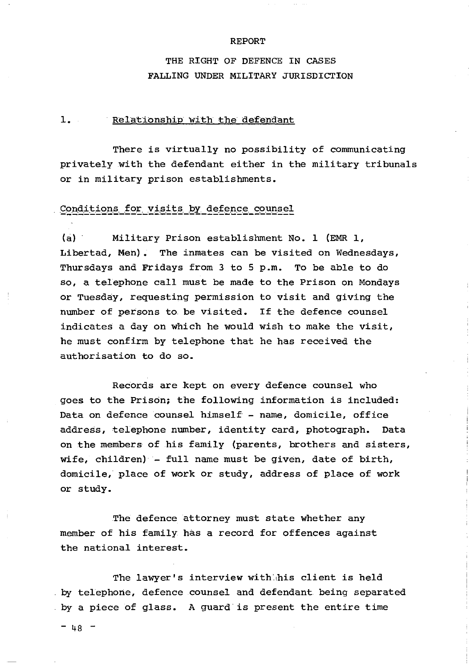#### **REPORT**

## THE RIGHT OF DEFENCE IN CASES **FALLING UNDER MILITARY JURISDICTION**

#### **1. Relationship With the defendant**

**There is virtually no possibility of communicating privately with the defendant either in the military tribunals or in military prison establishments.**

#### Conditions for visits by defence counsel

**(a) Military Prison establishment No. 1 (EMR 1,** Libertad, Men). The inmates can be visited on Wednesdays, **Thursdays and Fridays from 3 to 5 p.m. To be able to do so, a telephone call must be made to the Prison on Mondays or Tuesday, requesting permission to visit and giving the number of persons to be visited. If the defence counsel** indicates a day on which he would wish to make the visit, **he must confirm by telephone that he has received the authorisation to do so.**

**Records are kept on every defence counsel who goes to the Prison; the following information is included: Data on defence counsel himself - name, domicile, office address, telephone number, identity card, photograph. Data on the members of his family (parents, brothers and sisters, wife, children) - full name must be given, date of birth, domicile, place of work or study, address of place of work or study.**

**The defence attorney must state whether any member of his family has a record for offences against the national interest.**

**The lawyer's interview with.ihis client is held by telephone, defence counsel and defendant being separated by a piece of glass. A guard is present the entire time**

 $- 48 -$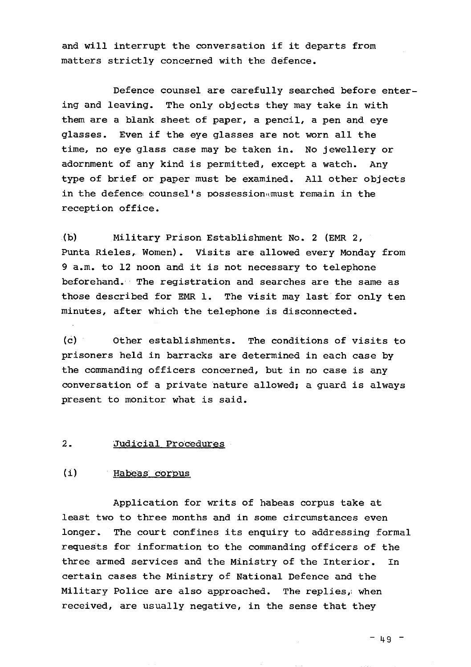**and will interrupt the conversation if it departs from matters strictly concerned with the defence.**

**Defence counsel are carefully searched before entering and leaving. The only objects they may take in with them are a blank sheet of paper, a pencil, a pen and eye glasses. Even if the eye glasses are not worn all the time, no eye glass case may be taken in. No jewellery or** adornment of any kind is permitted, except a watch. Any **type of brief or paper must be examined. All other objects in the defence counsel's possession ".must remain in the reception office.**

**(b) Military Prison Establishment No. 2 (EMR 2,** Punta Rieles, Women). Visits are allowed every Monday from **9 a.m. to 12 noon and it is not necessary to telephone beforehand. The registration and searches are the same as those described for EMR 1. The visit may last for only ten minutes, after which the telephone is disconnected.**

**(c) Other establishments. The conditions of visits to prisoners held in barracks are determined in each case by the commanding officers concerned, but in no case is any conversation of a private nature allowed; a guard is always present to monitor what is said.**

#### **2. Judicial Procedures**

#### **(i) Habeas corpus**

**Application for writs of habeas corpus take at least two to three months and in some circumstances even longer. The court confines its enquiry to addressing formal requests for information to the commanding officers of the three armed services and the Ministry of the Interior. In certain cases the Ministry of National Defence and the Military Police are also approached. The replies,: when received, are usually negative, in the sense that they**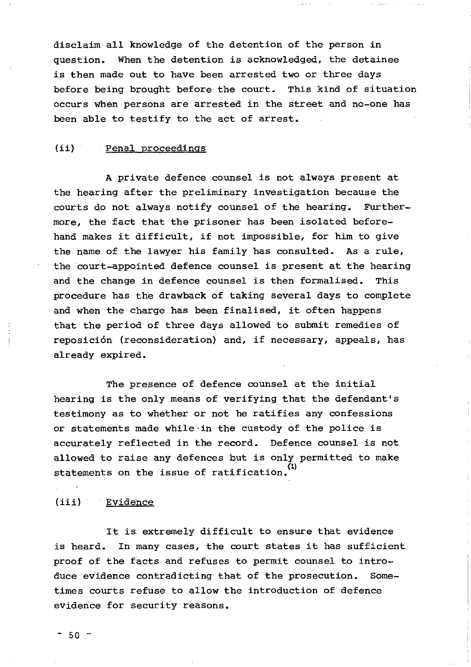**disclaim all knowledge of the detention of the person in question. When the detention is acknowledged, the detainee is then made out to have been arrested two or three days before being brought before the court. This kind of situation occurs when persons are arrested in the street and no-one has been able to testify to the act of arrest.**

#### **(ii) Penal proceedings**

**A private defence counsel is not always present at the hearing after the preliminary investigation because the courts do not always notify counsel of the hearing. Furthermore, the fact that the prisoner has been isolated beforehand makes it difficult, if not impossible, for him to give the name of the lawyer his family has consulted. As a rule, the court-appointed defence counsel is present at the hearing and the change in defence counsel is then formalised. This procedure has the drawback of taking several days to complete and when the charge has been finalised, it often happens that the period of three days allowed to submit remedies of reposicion (reconsideration) and, if necessary, appeals, has already expired.**

**The presence of defence counsel at the initial** hearing is the only means of verifying that the defendant's **testimony as to whether or not he ratifies any confessions or statements made while in the custody of the police is accurately reflected in the record. Defence counsel is not allowed to raise any defences but is only permitted to make** statements on the issue of ratification.

#### **(iii) Evidence**

**It is extremely difficult to ensure that evidence is heard. In many cases, the court states it has sufficient proof of the facts and refuses to permit counsel to introduce evidence contradicting that of the prosecution. Sometimes courts refuse to allow the introduction of defence evidence for security reasons.**

 $-50 -$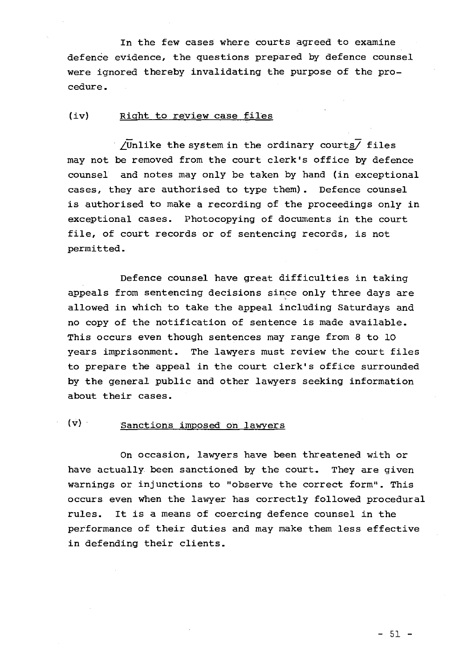**In the few cases where courts agreed to examine defence evidence, the questions prepared by defence counsel** were ignored thereby invalidating the purpose of the pro**cedure .**

#### **(iv) Right to review case files**

**/Unlike the system in the ordinary courts/ files may not be removed from the court clerk's office by defence counsel and notes may only be taken by hand (in exceptional** cases, they are authorised to type them). Defence counsel **is authorised to make a recording of the proceedings only in exceptional cases. Photocopying of documents in the court file, of court records or of sentencing records, is not permitted.**

**Defence counsel have great difficulties in taking appeals from sentencing decisions since only three days are allowed in which to take the appeal including Saturdays and no copy of the notification of sentence is made available. This occurs even though sentences may range from 8 to 10 years imprisonment. The lawyers must review the court files to prepare the appeal in the court clerk's office surrounded by the general public and other lawyers seeking information about their cases.**

## **(v ) Sanctions imposed oh lawyers**

**On occasion, lawyers have been threatened with or have actually been sanctioned by the court. They are given warnings or injunctions to "observe the correct form". This occurs even when the lawyer has correctly followed procedural rules. It is a means of coercing defence counsel in the performance of their duties and may make them less effective in defending their clients.**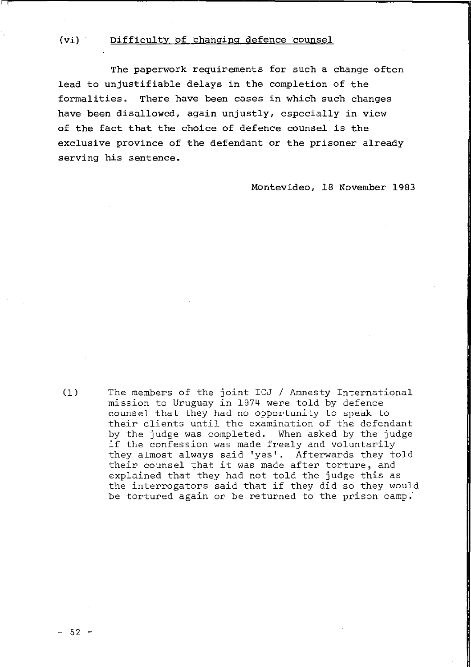#### **(vi) Difficulty Of changing defence counsel**

**The paperwork requirements for such a change often lead to unjustifiable delays in the completion of the formalities. There have been cases in which such changes have been disallowed, again unjustly, especially in view of the fact that the choice of defence counsel is the exclusive province of the defendant or the prisoner already serving his sentence.**

**Montevideo, 18 November 1983**

(1) The members of the joint ICJ / Amnesty International mission to Uruguay in 1974 were told by defence counsel that they had no opportunity to speak to their clients until the examination of the defendant by the judge was completed. When asked by the judge if the confession was made freely and voluntarily they almost always said 'yes'. Afterwards they told their counsel that it was made after torture, and explained that they had not told the judge this as the interrogators said that if they did so they would be tortured again or be returned to the prison camp.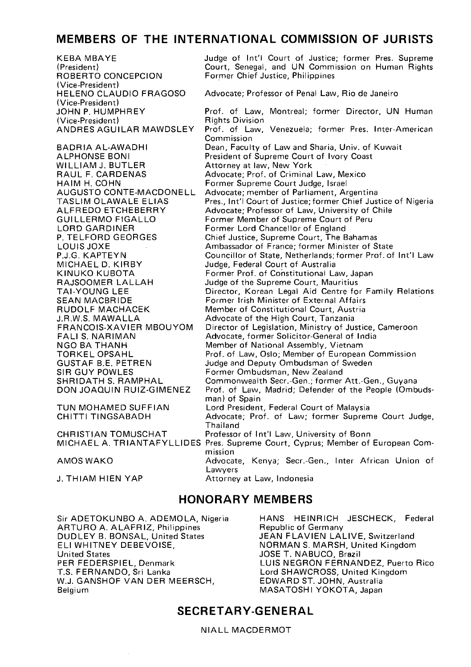## **MEMBERS OF THE INTERNATIONAL COMMISSION OF JURISTS**

K E BA M BAY F (President) ROBERTO CONCEPCION (Vice-President) HELENO CLAUDIO FRAGOSO (Vice-President) JOHN P. HUMPHREY (Vice-President) ANDRES AGUILAR MAWDSLEY BADRIA AL-AWADHI **ALPHONSE BONI** WILLIAM J. BUTLER RAUL F. CARDENAS HAIM H. COHN AUGUSTO CONTE-MACDONELL TASLIM OLAWALE ELIAS A L FREDO ETCHEBERRY GUILLERMO FIGALLO LORD GARDINER P. TELFORD GEORGES LOUIS JOXE P.J.G. KAPTEYN MICHAEL D. KIRBY K INUKO KUROTA RAJSOOMER LALLAH **TAI-YOUNG LEE SEAN MACBRIDE** RUDOLF MACHACEK **J.R.W.S. MAWALLA** FRANCOIS-XAVIER MBOUYOM **FALIS NARIMAN** NGO BA THANH **TORKEL OPSAHL** GUSTAF B.E. PETREN SIR GUY POWLES SHRIDATH S. RAMPHAL DON JOAQUIN RUIZ-GIMENEZ TUN MOHAMED SUFFIAN CHITTI TINGSABADH **CHRISTIAN TOMUSCHAT** MICHAEL A. TRIANTAFYLLIDES Pres. Supreme Court, Cyprus; Member of European Com-AMOS WAKO **J. THIAM HIEN YAP** Judge of Int'l Court of Justice; former Pres. Supreme Court, Senegal, and UN Commission on Human Rights Form er Chief Justice, Philippines Advocate; Professor of Penal Law, Rio de Janeiro Prof. of Law, Montreal; former Director, UN Human Rights Division Prof. of Law, Venezuela; former Pres. Inter-American **Commission** Dean, Faculty of Law and Sharia, Univ. of Kuwait President of Supreme Court of Ivory Coast Attorney at law, New York Advocate: Prof. of Criminal Law, Mexico Former Supreme Court Judge, Israel Advocate; member of Parliament, Argentina Pres., Int'l Court of Justice; former Chief Justice of Nigeria Advocate: Professor of Law, University of Chile Former Member of Supreme Court of Peru Former Lord Chancellor of England Chief Justice, Supreme Court, The Bahamas Ambassador of France; former Minister of State Councillor of State, Netherlands; former Prof. of Int'l Law Judge, Federal Court of Australia Former Prof. of Constitutional Law, Japan Judge of the Supreme Court, Mauritius Director, Korean Legal Aid Centre for Family Relations Former Irish Minister of External Affairs Member of Constitutional Court, Austria Advocate of the High Court, Tanzania Director of Legislation, Ministry of Justice, Cameroon Advocate, former Solicitor-General of India Member of National Assembly, Vietnam Prof. of Law, Oslo; Member of European Commission Judge and Deputy Ombudsman of Sweden Former Ombudsman, New Zealand Commonwealth Secr.-Gen.: former Att.-Gen., Guyana Prof. of Law, Madrid: Defender of the People (Ombudsman) of Spain Lord President, Federal Court of Malaysia Advocate; Prof. of Law; former Supreme Court Judge, Thailand Professor of Int'l Law, University of Bonn mission Advocate, Kenya; Secr.-Gen., Inter African Union of Lawyers Attorney at Law, Indonesia

## **HONORARY MEMBERS**

Sir ADETOKUNBO A. ADEMOLA, Nigeria ARTURO A. ALAFRIZ, Philippines DUDLEY B. BONSAL, United States ELI WHITNEY DEBEVOISE. **United States** PER FEDERSPIEL, Denmark T.S. FERNANDO, Sri Lanka W.J. GANSHOF VAN DER MEERSCH, Belgium

HANS HEINRICH JESCHECK, Federal Republic of Germany JEAN FLAVIEN LALIVE, Switzerland NORMAN S. MARSH, United Kingdom JOSE T. NABUCO, Brazil LUIS NEGRON FERNANDEZ, Puerto Rico Lord SHAWCROSS, United Kingdom EDWARD ST. JOHN, Australia MASATOSHI YOKOTA, Japan

## **SECRETARY-GENERAL**

NIALL MACDERMOT